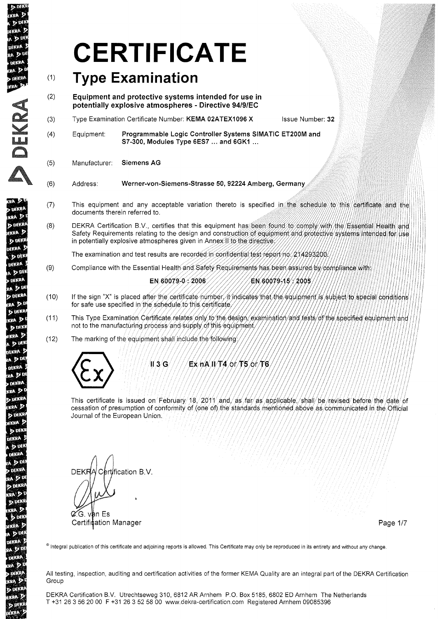# **CERTIFICATE**

#### $(1)$ **Type Examination**

- (2) **Equipment and protective systems intended for use in potentially explosive atmospheres - Directive 94/9/EC**
- (3) Type Examination Certificate Number: **KEMA 02ATEX1096 X** Issue Number: **32**
- (4) Equipment: **Programmable Logic Controller** Systems **SIMATIC ET200M and 57-300, Modules Type 6ES7** ... **and 6GK1** ...
- (5) Manufacturer: Siemens **AG**

**\** W  $\bigcap$ 

**DEKP** 

KRA 3

**DEK** 

EKRA S

**D** DEK **DEKRA** 

 $D<sub>DEN</sub>$ DEKRA

ADD **DEKRA** 

RA D.D

**b** DEKR

 $(RA)$ 

**D** DFK KRA 3

 $D$   $W$ **EKRA** A D<sub>DE</sub>

DEKRA  $A \nrightarrow 0$ DEKRA **RA**<sub>2</sub> **DEKRA** 

KRA P

**DEKR** 

KRA D **D** DEK EKRA  $\mathbf{p}$  of **DEKRA** A D DE DEKRA

ADD **DEKRA** RA<sub>D</sub> **DEKI TOA** D b DEK **EKRA**<sup>D</sup>  $\sqrt{p}$ DEKRA **A**<sub>2</sub><sup>b</sup> DEKRA **RA DI** 

**DO** 

 $D<sub>0</sub>$ **TEKRA**  $\mathfrak{a} \times \mathfrak{b}$ **DEKRA** en Di **ENKRA** 

- Werner-von-Siemens-Strasse 50, 92224 Amberg, Germany (6) Address:
- (7) This equipment and any acceptable variation thereto is specified in the schedule to this certificate and the documents therein referred to.
- (8) DEKRA Certification B.V., certifies that this equipment has been found to comply with the Essential Health and Safety Requirements relating to the design and construction of equipment and protective systems intended for use in potentially explosive atmospheres given in Annex II to the directive

The examination and test results are recorded in confidential test report no. 21/4293200.

(9) Compliance with the Essential Health and Safety Requirements has been assured by compliance with:

#### EN 60079-0 2006

EN 60079-15 / 2005

- If the sign "X" is placed after the certificate number, it indicates that the equipment is subject to special conditions (10) for safe use specified in the schedule to this certificate
- $(11)$ This Type Examination Certificate relates only to the design/examination/and tests/of the specified equipment/and not to the manufacturing process and supply of this equipment,
- The marking of the equipment shall include the following (12)



/II 3/G Ex nA II/T4 of T5 of T6

This certificate is issued on February/18, 2011 and, as far as applicable, shall be revised before the date of cessation of presumption of conformity of (one of) the standards mentioned above as communicated in the Official Journal of the European Union.

**DEKR** Certification B.V.  $\mathscr{C}$ . van Es **Certification Manager Page 1/7** Certification Manager Page 1/7

@ Integral publication of this certificate and adjoining reports is allowed. This Certificate may only be reproduced in its entirety and without any change.

All testing, inspection, auditing and certification activities of the former KEMA Quality are an integral part of the DEKRA Certification Group

DEKRA Certification B.v. Utrechtseweg 310, 6812 AR Arnhem P.O. Box 5185,6802 ED Arnhem The Netherlands T +31 263562000 F +31 263525800 www.dekra-certification.com Registered Arnhem 09085396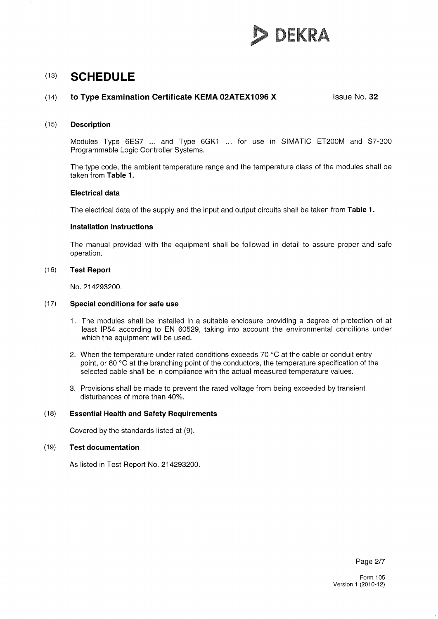

#### (14) **to Type Examination Certificate KEMA 02ATEX1096 X** Issue No. **32**

#### (15) **Description**

Modules Type 6ES7 ... and Type 6GK1 ... for use in SIMATIC ET200M and S7-300 Programmable Logic Controller Systems.

The type code, the ambient temperature range and the temperature class of the modules shall be taken from Table 1.

#### **Electrical data**

The electrical data of the supply and the input and output circuits shall be taken from **Table 1.** 

#### **Installation instructions**

The manual provided with the equipment shall be followed in detail to assure proper and safe operation.

#### (16) **Test Report**

No. 214293200.

#### (17) **Special conditions for safe use**

- 1. The modules shall be installed in a suitable enclosure providing a degree of pratection of at least IP54 according to EN 60529, taking into account the environmental conditions under which the equipment will be used.
- 2. When the temperature under rated conditions exceeds 70  $^{\circ}$ C at the cable or conduit entry point, or 80°C at the branching point of the conductors, the temperature specification of the selected cable shall be in compliance with the actual measured temperature values.
- 3. Provisions shall be made to prevent the rated voltage from being exceeded by transient disturbances of more than 40%.

#### (18) **Essential Health and Safety Requirements**

Covered by the standards listed at (9).

#### (19) **Test documentation**

As listed in Test Report No. 214293200.

Page 2/7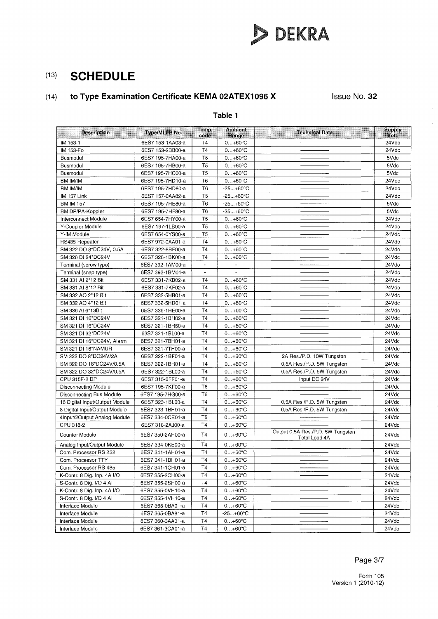

## (14) **to Type Examination Certificate KEMA 02ATEX1096 X**

Issue No. **32** 

#### **Table 1**

| <b>Description</b>             | Type/MLFB No.    | Temp.<br>code  | <b>Ambient</b><br>Range | <b>Technical Data</b>                              | Supply<br>Volt. |
|--------------------------------|------------------|----------------|-------------------------|----------------------------------------------------|-----------------|
| IM 153-1                       | 6ES7 153-1AA03-a | T4             | $0+60°C$                |                                                    | 24Vdc           |
| IM 153-Fo                      | 6ES7 153-2BB00-a | <b>T4</b>      | $0+60^{\circ}C$         |                                                    | 24Vdc           |
| Busmodul                       | 6ES7 195-7HA00-a | <b>T5</b>      | $0+60°C$                |                                                    | 5Vdc            |
| Busmodul                       | 6ES7 195-7HB00-a | T <sub>5</sub> | $0+60°C$                |                                                    | 5Vdc            |
| Busmodul                       | 6ES7 195-7HC00-a | T <sub>5</sub> | $0+60^{\circ}C$         |                                                    | 5Vdc            |
| BM IM/IM                       | 6ES7 195-7HD10-a | T <sub>6</sub> | $0+60°C$                |                                                    | 24Vdc           |
| BM IM/IM                       | 6ES7 195-7HD80-a | T6             | $-25. +60^{\circ}$ C    |                                                    | 24Vdc           |
| IM 157 Link                    | 6ES7 157-0AA82-a | T <sub>5</sub> | $-25+60°C$              |                                                    | 24Vdc           |
| <b>BM IM 157</b>               | 6ES7 195-7HE80-a | T6             | $-25+60°C$              |                                                    | 5Vdc            |
| BM DP/PA-Koppler               | 6ES7 195-7HF80-a | T <sub>6</sub> | $-25+60°C$              |                                                    | 5Vdc            |
| Interconnect Module            | 6ES7 654-7HY00-a | T <sub>5</sub> | $0+60^{\circ}C$         |                                                    | 24Vdc           |
| Y-Coupler Module               | 6ES7 197-1LB00-a | T <sub>5</sub> | $0+60^{\circ}C$         |                                                    | 24Vdc           |
| Y-IM Module                    | 6ES7 654-0YS00-a | T <sub>5</sub> | $0+60°C$                |                                                    | 24Vdc           |
| RS485-Repeater                 | 6ES7 972-0AA01-a | <b>T4</b>      | $0. . + 60^{\circ}C$    |                                                    | 24Vdc           |
| SM 322 DO 8*DC24V, 0.5A        | 6ES7 322-8BF00-a | <b>T4</b>      | $0+60°C$                |                                                    | 24Vdc           |
| SM 326 DI 24*DC24V             | 6ES7 326-1BK00-a | <b>T4</b>      | $0+60^{\circ}C$         |                                                    | 24Vdc           |
| Terminal (screw type)          | 6ES7 392-1AM00-a | $\blacksquare$ | $\blacksquare$          |                                                    | 24Vdc           |
| Terminal (snap type)           | 6ES7 392-1BM01-a | $\blacksquare$ |                         |                                                    | 24Vdc           |
| SM 331 AI 2*12 Bit             | 6ES7 331-7KB02-a | <b>T4</b>      | $0+60°C$                |                                                    | 24Vdc           |
| SM 331 AI 8*12 Bit             | 6ES7 331-7KF02-a | <b>T4</b>      | $0+60°C$                |                                                    | 24Vdc           |
| SM 332 AO 2*12 Bit             | 6ES7 332-5HB01-a | T4             | $0. + 60^{\circ}C$      |                                                    | 24Vdc           |
| SM 332 AO 4*12 Bit             | 6ES7 332-5HD01-a | <b>T4</b>      | $0+60°C$                |                                                    | 24Vdc           |
| SM 336 AI 6*13Bit              | 6ES7 336-1HE00-a | <b>T4</b>      | $0+60°C$                |                                                    | 24Vdc           |
| SM 321 DI 16*DC24V             | 6ES7 321-1BH02-a | T <sub>4</sub> | $0+60^{\circ}C$         |                                                    | 24Vdc           |
| SM 321 DI 16*DC24V             | 6ES7 321-1BH50-a | <b>T4</b>      | $0+60^{\circ}C$         |                                                    | 24Vdc           |
| SM 321 DI 32*DC24V             | 63S7 321-1BL00-a | <b>T4</b>      | $0+60°C$                |                                                    | 24Vdc           |
| SM 321 DI 16*DC24V, Alarm      | 6ES7 321-7BH01-a | <b>T4</b>      | $0+60°C$                |                                                    | 24Vdc           |
| SM 321 DI 16*NAMUR             | 6ES7 321-7TH00-a | <b>T4</b>      | $0+60^{\circ}C$         |                                                    | 24Vdc           |
| SM 322 DO 8*DC24V/2A           | 6ES7 322-1BF01-a | <b>T4</b>      | $0+60^{\circ}C$         | 2A Res./P.D. 10W Tungsten                          | 24Vdc           |
| SM 322 DO 16*DC24V/0.5A        | 6ES7 322-1BH01-a | T <sub>4</sub> | $0+60^{\circ}C$         | 0,5A Res./P.D. 5W Tungsten                         | 24Vdc           |
| SM 322 DO 32*DC24V/0.5A        | 6ES7 322-1BL00-a | <b>T4</b>      | $0+60^{\circ}C$         | 0,5A Res./P.D. 5W Tungsten                         | 24Vdc           |
| CPU 315F-2 DP                  | 6ES7 315-6FF01-a | <b>T4</b>      | $0+60^{\circ}C$         | Input DC 24V                                       | 24Vdc           |
| <b>Disconnecting Module</b>    | 6ES7 195-7KF00-a | T <sub>6</sub> | $0+60^{\circ}C$         |                                                    | 24Vdc           |
| Disconnecting Bus Module       | 6ES7 195-7HG00-a | T <sub>6</sub> | $0+60^{\circ}C$         |                                                    | 24Vdc           |
| 16 Digital Input/Output Module | 6ES7 323-1BL00-a | T <sub>4</sub> | $0+60^{\circ}C$         | 0,5A Res./P.D. 5W Tungsten                         | 24Vdc           |
| 8 Digital Input/Output Module  | 6ES7 323-1BH01-a | <b>T4</b>      | $0+60^{\circ}C$         | 0,5A Res./P.D. 5W Tungsten                         | 24Vdc           |
| 4Input/2Output Analog Module   | 6ES7 334-0CE01-a | T <sub>5</sub> | $0+60^{\circ}C$         |                                                    | 24Vdc           |
| CPU 318-2                      | 6ES7 318-2AJ00-a | <b>T4</b>      | $0+60°C$                |                                                    | 24Vdc           |
| Counter Module                 | 6ES7 350-2AH00-a | <b>T4</b>      | $0+60°C$                | Output 0,5A Res./P.D. 5W Tungsten<br>Total Load 4A | 24Vdc           |
| Analog Input/Output Module     | 6ES7 334-0KE00-a | T4             | $0+60°C$                |                                                    | 24Vdc           |
| Com. Processor RS 232          | 6ES7 341-1AH01-a | <b>T4</b>      | $0+60^{\circ}C$         |                                                    | 24Vdc           |
| Com. Processor TTY             | 6ES7 341-1BH01-a | T4             | $0+60^{\circ}C$         |                                                    | 24Vdc           |
| Com. Processor RS 485          | 6ES7 341-1CH01-a | <b>T4</b>      | $0+60^{\circ}C$         |                                                    | 24Vdc           |
| K-Contr. 8 Dig. Inp. 4A I/O    | 6ES7 355-2CH00-a | Τ4             | $0+60^{\circ}C$         |                                                    | 24Vdc           |
| S-Contr. 8 Dig. I/O 4 Al       | 6ES7 355-2SH00-a | T4             | $0+60^{\circ}C$         |                                                    | 24Vdc           |
| K-Contr. 8 Dig. Inp. 4A I/O    | 6ES7 355-0VH10-a | T4             | $0+60°C$                |                                                    | 24Vdc           |
| S-Contr. 8 Dig. I/O 4 AI       | 6ES7 355-1VH10-a | T <sub>4</sub> | $0+60^{\circ}C$         |                                                    | 24Vdc           |
| Interface Module               | 6ES7 365-0BA01-a | Τ4             | $0+60°C$                |                                                    | 24Vdc           |
| Interface Module               | 6ES7 365-0BA81-a | T4             | -25…+60°C               |                                                    | 24Vdc           |
| Interface Module               | 6ES7 360-3AA01-a | T <sub>4</sub> | $0+60°C$                |                                                    | 24Vdc           |
| Interface Module               | 6ES7 361-3CA01-a | Τ4             | $0+60^{\circ}C$         |                                                    | 24Vdc           |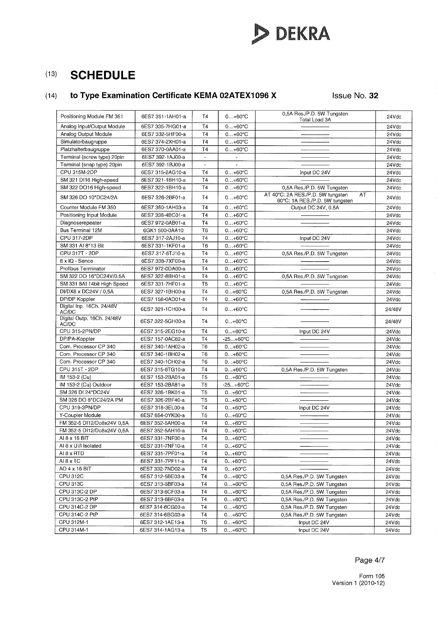

# (14) **to Type Examination Certificate KEMA 02ATEX1096 X Issue No. 32**

| Analog Input/Output Module<br>6ES7 335-7HG01-a<br>Τ4<br>$0+60°C$<br>24Vdc<br>Analog Output Module<br><b>T4</b><br>$0+60^{\circ}C$<br>6ES7 332-5HF00-a<br>24Vdc<br>Simulatorbaugruppe<br><b>T4</b><br>6ES7 374-2XH01-a<br>$0+60°C$<br>24Vdc<br><b>T4</b><br>Platzhalterbaugruppe<br>6ES7 370-0AA01-a<br>$0.460^{\circ}$ C<br>24Vdc<br>Terminal (screw type) 20pin<br>6ES7 392-1AJ00-a<br>24Vdc<br>$\tilde{\phantom{a}}$<br>$\overline{\phantom{a}}$<br>Terminal (snap type) 20pin<br>6ES7 392-1BJ00-a<br>24Vdc<br>$\mathbf{r}$<br>$\sim$<br>CPU 315M-2DP<br>6ES7 315-2AG10-a<br><b>T4</b><br>$0+60°C$<br>24Vdc<br>Input DC 24V<br>SM 321 DI16 High-speed<br>6ES7 321-1BH10-a<br><b>T4</b><br>$0+60°C$<br>24Vdc<br>SM 322 DO16 High-speed<br>6ES7 322-1BH10-a<br>T <sub>4</sub><br>$0+60^{\circ}C$<br>0,5A Res./P.D. 5W Tungsten<br>24Vdc<br>AT 40°C: 2A RES./P.D. 5W tungsten<br>AT<br>SM 326 DO 10*DC24/2A<br>$0+60°C$<br>6ES7 326-2BF01-a<br>T <sub>4</sub><br>24Vdc<br>60°C: 1A RES./P.D. 5W tungsten<br>Counter Module FM 350<br>6ES7 350-1AH03-a<br><b>T4</b><br>$0+60°C$<br>Output DC 24V, 0.5A<br>24Vdc<br><b>T4</b><br>Positioning Input Module<br>6ES7 338-4BC01-a<br>$0+60°C$<br>24Vdc<br>Diagnoserepeater<br>$0+60°C$<br>6ES7 972-0AB01-a<br>Т4<br>24Vdc<br>Bus Terminal 12M<br>6GK1 500-0AA10<br>T <sub>6</sub><br>$0+60^{\circ}C$<br>24Vdc<br>CPU 317-2DP<br>T <sub>4</sub><br>6ES7 317-2AJ10-a<br>$0+60°C$<br>24Vdc<br>Input DC 24V<br>SM 331 AI 8*13 Bit<br>6ES7 331-1KF01-a<br>T6<br>$0+60^{\circ}C$<br>24Vdc<br>CPU 317T - 2DP<br>6ES7 317-6TJ10-a<br><b>T4</b><br>$0+60^{\circ}C$<br>0,5A Res./P.D. 5W Tungsten<br>24Vdc<br>8 x IQ - Sence<br>6ES7 338-7XF00-a<br><b>T4</b><br>$0+60°C$<br>24Vdc<br>Profibus Terminator<br>6ES7 972-0DA00-a<br><b>T4</b><br>$0+60°C$<br>24Vdc<br>SM 322 DO 16*DC24V/0.5A<br>6ES7 322-8BH01-a<br><b>T4</b><br>$0+60°C$<br>0.5A Res./P.D. 5W Tungsten<br>24Vdc<br>SM 331 8AI 14bit High Speed<br>6ES7 331-7HF01-a<br>T <sub>5</sub><br>$0+60^{\circ}C$<br>24Vdc<br>DI/DX8 x DC24V / 0.5A<br>6ES7 327-1BH00-a<br>T4<br>$0+60°C$<br>0,5A Res./P.D. 5W Tungsten<br>24Vdc<br>DP/DP Koppler<br>6ES7 158-0AD01-a<br>T <sub>4</sub><br>$0+60°C$<br>24Vdc<br>Digital Inp. 16Ch. 24/48V<br>6ES7 321-1CH00-a<br>T <sub>4</sub><br>$0+60^{\circ}C$<br>24/48V<br>AC/DC<br>Digital Outp. 16Ch. 24/48V<br>6ES7 322-5GH00-a<br>T <sub>4</sub><br>$0+60°C$<br>24/48V<br>AC/DC<br>CPU 315-2PN/DP<br>6ES7 315-2EG10-a<br>T <sub>4</sub><br>$0+60°C$<br>Input DC 24V<br>24Vdc<br>DP/PA-Koppler<br>6ES7 157-0AC82-a<br><b>T4</b><br>$-25+60^{\circ}C$<br>24Vdc<br>Com. Processor CP 340<br>6ES7 340-1AH02-a<br>T <sub>6</sub><br>$0+60^{\circ}C$<br>24Vdc<br>Com. Processor CP 340<br>6ES7 340-1BH02-a<br>T <sub>6</sub><br>$0+60^{\circ}C$<br>24Vdc<br>Com. Processor CP 340<br>T <sub>6</sub><br>$0+60^{\circ}C$<br>6ES7 340-1CH02-a<br>24Vdc<br>CPU 315T - 2DP<br>6ES7 315-6TG10-a<br><b>T4</b><br>$0+60°C$<br>0,5A Res./P.D. 5W Tungsten<br>24Vdc<br>IM 153-2 (Cu)<br>6ES7 153-2BA01-a<br>T <sub>5</sub><br>$0+60^{\circ}C$<br>24Vdc<br>IM 153-2 (Cu) Outdoor<br>6ES7 153-2BA81-a<br>T <sub>5</sub><br>$-25+60°C$<br>24Vdc<br>SM 326 DI 24*DC24V<br>6ES7 326-1BK01-a<br>T <sub>5</sub><br>$0+60^{\circ}C$<br>24Vdc<br>SM 326 DO 8*DC24/2A PM<br>T <sub>5</sub><br>6ES7 326-2BF40-a<br>$0+60^{\circ}C$<br>24Vdc<br>CPU 319-3PN/DP<br>6ES7 318-3EL00-a<br>T <sub>4</sub><br>$0+60^{\circ}C$<br>Input DC 24V<br>24Vdc<br>Y-Coupler Module<br>T <sub>5</sub><br>6ES7 654-0YK00-a<br>$0+60^{\circ}C$<br>24Vdc<br>FM 352-5 DI12/Do8x24V 0,5A<br>6ES7 352-5AH00-a<br><b>T4</b><br>$0+60^{\circ}C$<br>24Vdc<br>FM 352-5 DI12/Do8x24V 0,5A<br>6ES7 352-5AH10-a<br><b>T4</b><br>$0+60^{\circ}C$<br>24Vdc<br><b>T4</b><br>AI 8 x 16 BIT<br>6ES7 331-7NF00-a<br>$0+60^{\circ}C$<br>24Vdc<br>AI 8 x UI/I Isolated<br>6ES7 331-7NF10-a<br>T4<br>$0+60^{\circ}C$<br>24Vdc<br>AI 8 x RTD<br>T4<br>6ES7 331-7PF01-a<br>$0+60°C$<br>24Vdc<br>AI 8 x TC<br>T <sub>4</sub><br>6ES7 331-7PF11-a<br>$0+60°C$<br>24Vdc<br>AO 4 x 16 BIT<br>6ES7 332-7ND02-a<br>T4<br>$0+60°C$<br>24Vdc<br>$CPU$ 312 $C$<br>T <sub>4</sub><br>6ES7 312-5BE03-a<br>$0+60^{\circ}C$<br>0,5A Res./P.D. 5W Tungsten<br>24Vdc<br><b>CPU 313C</b><br><b>T4</b><br>6ES7 313-5BF03-a<br>$0+60^{\circ}C$<br>0,5A Res./P.D. 5W Tungsten<br>24Vdc<br>CPU 313C-2 DP<br>T <sub>4</sub><br>6ES7 313-6CF03-a<br>$0+60°C$<br>0,5A Res./P.D. 5W Tungsten<br>24Vdc<br>CPU 313C-2 PtP<br><b>T4</b><br>6ES7 313-6BF03-a<br>$0+60^{\circ}C$<br>0,5A Res./P.D. 5W Tungsten<br>24Vdc<br>CPU 314C-2 DP<br><b>T4</b><br>6ES7 314-6CG03-a<br>$0+60^{\circ}C$<br>0,5A Res./P.D. 5W Tungsten<br>24Vdc<br>CPU 314C-2 PtP<br>6ES7 314-6BG03-a<br><b>T4</b><br>$0+60^{\circ}C$<br>0,5A Res./P.D. 5W Tungsten<br>24Vac<br>CPU 312M-1<br>6ES7 312-1AE13-a<br>T <sub>5</sub><br>$0+60^{\circ}C$<br>Input DC 24V<br>24Vdc | Positioning Module FM 351 | 6ES7 351-1AH01-a | T4             | $0+60^{\circ}C$ | 0,5A Res./P.D. 5W Tungsten<br>Total Load 3A | 24Vdc |
|-------------------------------------------------------------------------------------------------------------------------------------------------------------------------------------------------------------------------------------------------------------------------------------------------------------------------------------------------------------------------------------------------------------------------------------------------------------------------------------------------------------------------------------------------------------------------------------------------------------------------------------------------------------------------------------------------------------------------------------------------------------------------------------------------------------------------------------------------------------------------------------------------------------------------------------------------------------------------------------------------------------------------------------------------------------------------------------------------------------------------------------------------------------------------------------------------------------------------------------------------------------------------------------------------------------------------------------------------------------------------------------------------------------------------------------------------------------------------------------------------------------------------------------------------------------------------------------------------------------------------------------------------------------------------------------------------------------------------------------------------------------------------------------------------------------------------------------------------------------------------------------------------------------------------------------------------------------------------------------------------------------------------------------------------------------------------------------------------------------------------------------------------------------------------------------------------------------------------------------------------------------------------------------------------------------------------------------------------------------------------------------------------------------------------------------------------------------------------------------------------------------------------------------------------------------------------------------------------------------------------------------------------------------------------------------------------------------------------------------------------------------------------------------------------------------------------------------------------------------------------------------------------------------------------------------------------------------------------------------------------------------------------------------------------------------------------------------------------------------------------------------------------------------------------------------------------------------------------------------------------------------------------------------------------------------------------------------------------------------------------------------------------------------------------------------------------------------------------------------------------------------------------------------------------------------------------------------------------------------------------------------------------------------------------------------------------------------------------------------------------------------------------------------------------------------------------------------------------------------------------------------------------------------------------------------------------------------------------------------------------------------------------------------------------------------------------------------------------------------------------------------------------------------------------------------------------------------------------------------------------------------------------------------------------------------------------------------------------------------------------------------------------------------------------------------------------------------------------------------------------------------------------------------------------------------------------------------------------------------------------------------------------------------------------------------------------------------------------------------------------------------------------------------------------------------------------------------------------------------------------------|---------------------------|------------------|----------------|-----------------|---------------------------------------------|-------|
|                                                                                                                                                                                                                                                                                                                                                                                                                                                                                                                                                                                                                                                                                                                                                                                                                                                                                                                                                                                                                                                                                                                                                                                                                                                                                                                                                                                                                                                                                                                                                                                                                                                                                                                                                                                                                                                                                                                                                                                                                                                                                                                                                                                                                                                                                                                                                                                                                                                                                                                                                                                                                                                                                                                                                                                                                                                                                                                                                                                                                                                                                                                                                                                                                                                                                                                                                                                                                                                                                                                                                                                                                                                                                                                                                                                                                                                                                                                                                                                                                                                                                                                                                                                                                                                                                                                                                                                                                                                                                                                                                                                                                                                                                                                                                                                                                                                                               |                           |                  |                |                 |                                             |       |
|                                                                                                                                                                                                                                                                                                                                                                                                                                                                                                                                                                                                                                                                                                                                                                                                                                                                                                                                                                                                                                                                                                                                                                                                                                                                                                                                                                                                                                                                                                                                                                                                                                                                                                                                                                                                                                                                                                                                                                                                                                                                                                                                                                                                                                                                                                                                                                                                                                                                                                                                                                                                                                                                                                                                                                                                                                                                                                                                                                                                                                                                                                                                                                                                                                                                                                                                                                                                                                                                                                                                                                                                                                                                                                                                                                                                                                                                                                                                                                                                                                                                                                                                                                                                                                                                                                                                                                                                                                                                                                                                                                                                                                                                                                                                                                                                                                                                               |                           |                  |                |                 |                                             |       |
|                                                                                                                                                                                                                                                                                                                                                                                                                                                                                                                                                                                                                                                                                                                                                                                                                                                                                                                                                                                                                                                                                                                                                                                                                                                                                                                                                                                                                                                                                                                                                                                                                                                                                                                                                                                                                                                                                                                                                                                                                                                                                                                                                                                                                                                                                                                                                                                                                                                                                                                                                                                                                                                                                                                                                                                                                                                                                                                                                                                                                                                                                                                                                                                                                                                                                                                                                                                                                                                                                                                                                                                                                                                                                                                                                                                                                                                                                                                                                                                                                                                                                                                                                                                                                                                                                                                                                                                                                                                                                                                                                                                                                                                                                                                                                                                                                                                                               |                           |                  |                |                 |                                             |       |
|                                                                                                                                                                                                                                                                                                                                                                                                                                                                                                                                                                                                                                                                                                                                                                                                                                                                                                                                                                                                                                                                                                                                                                                                                                                                                                                                                                                                                                                                                                                                                                                                                                                                                                                                                                                                                                                                                                                                                                                                                                                                                                                                                                                                                                                                                                                                                                                                                                                                                                                                                                                                                                                                                                                                                                                                                                                                                                                                                                                                                                                                                                                                                                                                                                                                                                                                                                                                                                                                                                                                                                                                                                                                                                                                                                                                                                                                                                                                                                                                                                                                                                                                                                                                                                                                                                                                                                                                                                                                                                                                                                                                                                                                                                                                                                                                                                                                               |                           |                  |                |                 |                                             |       |
|                                                                                                                                                                                                                                                                                                                                                                                                                                                                                                                                                                                                                                                                                                                                                                                                                                                                                                                                                                                                                                                                                                                                                                                                                                                                                                                                                                                                                                                                                                                                                                                                                                                                                                                                                                                                                                                                                                                                                                                                                                                                                                                                                                                                                                                                                                                                                                                                                                                                                                                                                                                                                                                                                                                                                                                                                                                                                                                                                                                                                                                                                                                                                                                                                                                                                                                                                                                                                                                                                                                                                                                                                                                                                                                                                                                                                                                                                                                                                                                                                                                                                                                                                                                                                                                                                                                                                                                                                                                                                                                                                                                                                                                                                                                                                                                                                                                                               |                           |                  |                |                 |                                             |       |
|                                                                                                                                                                                                                                                                                                                                                                                                                                                                                                                                                                                                                                                                                                                                                                                                                                                                                                                                                                                                                                                                                                                                                                                                                                                                                                                                                                                                                                                                                                                                                                                                                                                                                                                                                                                                                                                                                                                                                                                                                                                                                                                                                                                                                                                                                                                                                                                                                                                                                                                                                                                                                                                                                                                                                                                                                                                                                                                                                                                                                                                                                                                                                                                                                                                                                                                                                                                                                                                                                                                                                                                                                                                                                                                                                                                                                                                                                                                                                                                                                                                                                                                                                                                                                                                                                                                                                                                                                                                                                                                                                                                                                                                                                                                                                                                                                                                                               |                           |                  |                |                 |                                             |       |
|                                                                                                                                                                                                                                                                                                                                                                                                                                                                                                                                                                                                                                                                                                                                                                                                                                                                                                                                                                                                                                                                                                                                                                                                                                                                                                                                                                                                                                                                                                                                                                                                                                                                                                                                                                                                                                                                                                                                                                                                                                                                                                                                                                                                                                                                                                                                                                                                                                                                                                                                                                                                                                                                                                                                                                                                                                                                                                                                                                                                                                                                                                                                                                                                                                                                                                                                                                                                                                                                                                                                                                                                                                                                                                                                                                                                                                                                                                                                                                                                                                                                                                                                                                                                                                                                                                                                                                                                                                                                                                                                                                                                                                                                                                                                                                                                                                                                               |                           |                  |                |                 |                                             |       |
|                                                                                                                                                                                                                                                                                                                                                                                                                                                                                                                                                                                                                                                                                                                                                                                                                                                                                                                                                                                                                                                                                                                                                                                                                                                                                                                                                                                                                                                                                                                                                                                                                                                                                                                                                                                                                                                                                                                                                                                                                                                                                                                                                                                                                                                                                                                                                                                                                                                                                                                                                                                                                                                                                                                                                                                                                                                                                                                                                                                                                                                                                                                                                                                                                                                                                                                                                                                                                                                                                                                                                                                                                                                                                                                                                                                                                                                                                                                                                                                                                                                                                                                                                                                                                                                                                                                                                                                                                                                                                                                                                                                                                                                                                                                                                                                                                                                                               |                           |                  |                |                 |                                             |       |
|                                                                                                                                                                                                                                                                                                                                                                                                                                                                                                                                                                                                                                                                                                                                                                                                                                                                                                                                                                                                                                                                                                                                                                                                                                                                                                                                                                                                                                                                                                                                                                                                                                                                                                                                                                                                                                                                                                                                                                                                                                                                                                                                                                                                                                                                                                                                                                                                                                                                                                                                                                                                                                                                                                                                                                                                                                                                                                                                                                                                                                                                                                                                                                                                                                                                                                                                                                                                                                                                                                                                                                                                                                                                                                                                                                                                                                                                                                                                                                                                                                                                                                                                                                                                                                                                                                                                                                                                                                                                                                                                                                                                                                                                                                                                                                                                                                                                               |                           |                  |                |                 |                                             |       |
|                                                                                                                                                                                                                                                                                                                                                                                                                                                                                                                                                                                                                                                                                                                                                                                                                                                                                                                                                                                                                                                                                                                                                                                                                                                                                                                                                                                                                                                                                                                                                                                                                                                                                                                                                                                                                                                                                                                                                                                                                                                                                                                                                                                                                                                                                                                                                                                                                                                                                                                                                                                                                                                                                                                                                                                                                                                                                                                                                                                                                                                                                                                                                                                                                                                                                                                                                                                                                                                                                                                                                                                                                                                                                                                                                                                                                                                                                                                                                                                                                                                                                                                                                                                                                                                                                                                                                                                                                                                                                                                                                                                                                                                                                                                                                                                                                                                                               |                           |                  |                |                 |                                             |       |
|                                                                                                                                                                                                                                                                                                                                                                                                                                                                                                                                                                                                                                                                                                                                                                                                                                                                                                                                                                                                                                                                                                                                                                                                                                                                                                                                                                                                                                                                                                                                                                                                                                                                                                                                                                                                                                                                                                                                                                                                                                                                                                                                                                                                                                                                                                                                                                                                                                                                                                                                                                                                                                                                                                                                                                                                                                                                                                                                                                                                                                                                                                                                                                                                                                                                                                                                                                                                                                                                                                                                                                                                                                                                                                                                                                                                                                                                                                                                                                                                                                                                                                                                                                                                                                                                                                                                                                                                                                                                                                                                                                                                                                                                                                                                                                                                                                                                               |                           |                  |                |                 |                                             |       |
|                                                                                                                                                                                                                                                                                                                                                                                                                                                                                                                                                                                                                                                                                                                                                                                                                                                                                                                                                                                                                                                                                                                                                                                                                                                                                                                                                                                                                                                                                                                                                                                                                                                                                                                                                                                                                                                                                                                                                                                                                                                                                                                                                                                                                                                                                                                                                                                                                                                                                                                                                                                                                                                                                                                                                                                                                                                                                                                                                                                                                                                                                                                                                                                                                                                                                                                                                                                                                                                                                                                                                                                                                                                                                                                                                                                                                                                                                                                                                                                                                                                                                                                                                                                                                                                                                                                                                                                                                                                                                                                                                                                                                                                                                                                                                                                                                                                                               |                           |                  |                |                 |                                             |       |
|                                                                                                                                                                                                                                                                                                                                                                                                                                                                                                                                                                                                                                                                                                                                                                                                                                                                                                                                                                                                                                                                                                                                                                                                                                                                                                                                                                                                                                                                                                                                                                                                                                                                                                                                                                                                                                                                                                                                                                                                                                                                                                                                                                                                                                                                                                                                                                                                                                                                                                                                                                                                                                                                                                                                                                                                                                                                                                                                                                                                                                                                                                                                                                                                                                                                                                                                                                                                                                                                                                                                                                                                                                                                                                                                                                                                                                                                                                                                                                                                                                                                                                                                                                                                                                                                                                                                                                                                                                                                                                                                                                                                                                                                                                                                                                                                                                                                               |                           |                  |                |                 |                                             |       |
|                                                                                                                                                                                                                                                                                                                                                                                                                                                                                                                                                                                                                                                                                                                                                                                                                                                                                                                                                                                                                                                                                                                                                                                                                                                                                                                                                                                                                                                                                                                                                                                                                                                                                                                                                                                                                                                                                                                                                                                                                                                                                                                                                                                                                                                                                                                                                                                                                                                                                                                                                                                                                                                                                                                                                                                                                                                                                                                                                                                                                                                                                                                                                                                                                                                                                                                                                                                                                                                                                                                                                                                                                                                                                                                                                                                                                                                                                                                                                                                                                                                                                                                                                                                                                                                                                                                                                                                                                                                                                                                                                                                                                                                                                                                                                                                                                                                                               |                           |                  |                |                 |                                             |       |
|                                                                                                                                                                                                                                                                                                                                                                                                                                                                                                                                                                                                                                                                                                                                                                                                                                                                                                                                                                                                                                                                                                                                                                                                                                                                                                                                                                                                                                                                                                                                                                                                                                                                                                                                                                                                                                                                                                                                                                                                                                                                                                                                                                                                                                                                                                                                                                                                                                                                                                                                                                                                                                                                                                                                                                                                                                                                                                                                                                                                                                                                                                                                                                                                                                                                                                                                                                                                                                                                                                                                                                                                                                                                                                                                                                                                                                                                                                                                                                                                                                                                                                                                                                                                                                                                                                                                                                                                                                                                                                                                                                                                                                                                                                                                                                                                                                                                               |                           |                  |                |                 |                                             |       |
|                                                                                                                                                                                                                                                                                                                                                                                                                                                                                                                                                                                                                                                                                                                                                                                                                                                                                                                                                                                                                                                                                                                                                                                                                                                                                                                                                                                                                                                                                                                                                                                                                                                                                                                                                                                                                                                                                                                                                                                                                                                                                                                                                                                                                                                                                                                                                                                                                                                                                                                                                                                                                                                                                                                                                                                                                                                                                                                                                                                                                                                                                                                                                                                                                                                                                                                                                                                                                                                                                                                                                                                                                                                                                                                                                                                                                                                                                                                                                                                                                                                                                                                                                                                                                                                                                                                                                                                                                                                                                                                                                                                                                                                                                                                                                                                                                                                                               |                           |                  |                |                 |                                             |       |
|                                                                                                                                                                                                                                                                                                                                                                                                                                                                                                                                                                                                                                                                                                                                                                                                                                                                                                                                                                                                                                                                                                                                                                                                                                                                                                                                                                                                                                                                                                                                                                                                                                                                                                                                                                                                                                                                                                                                                                                                                                                                                                                                                                                                                                                                                                                                                                                                                                                                                                                                                                                                                                                                                                                                                                                                                                                                                                                                                                                                                                                                                                                                                                                                                                                                                                                                                                                                                                                                                                                                                                                                                                                                                                                                                                                                                                                                                                                                                                                                                                                                                                                                                                                                                                                                                                                                                                                                                                                                                                                                                                                                                                                                                                                                                                                                                                                                               |                           |                  |                |                 |                                             |       |
|                                                                                                                                                                                                                                                                                                                                                                                                                                                                                                                                                                                                                                                                                                                                                                                                                                                                                                                                                                                                                                                                                                                                                                                                                                                                                                                                                                                                                                                                                                                                                                                                                                                                                                                                                                                                                                                                                                                                                                                                                                                                                                                                                                                                                                                                                                                                                                                                                                                                                                                                                                                                                                                                                                                                                                                                                                                                                                                                                                                                                                                                                                                                                                                                                                                                                                                                                                                                                                                                                                                                                                                                                                                                                                                                                                                                                                                                                                                                                                                                                                                                                                                                                                                                                                                                                                                                                                                                                                                                                                                                                                                                                                                                                                                                                                                                                                                                               |                           |                  |                |                 |                                             |       |
|                                                                                                                                                                                                                                                                                                                                                                                                                                                                                                                                                                                                                                                                                                                                                                                                                                                                                                                                                                                                                                                                                                                                                                                                                                                                                                                                                                                                                                                                                                                                                                                                                                                                                                                                                                                                                                                                                                                                                                                                                                                                                                                                                                                                                                                                                                                                                                                                                                                                                                                                                                                                                                                                                                                                                                                                                                                                                                                                                                                                                                                                                                                                                                                                                                                                                                                                                                                                                                                                                                                                                                                                                                                                                                                                                                                                                                                                                                                                                                                                                                                                                                                                                                                                                                                                                                                                                                                                                                                                                                                                                                                                                                                                                                                                                                                                                                                                               |                           |                  |                |                 |                                             |       |
|                                                                                                                                                                                                                                                                                                                                                                                                                                                                                                                                                                                                                                                                                                                                                                                                                                                                                                                                                                                                                                                                                                                                                                                                                                                                                                                                                                                                                                                                                                                                                                                                                                                                                                                                                                                                                                                                                                                                                                                                                                                                                                                                                                                                                                                                                                                                                                                                                                                                                                                                                                                                                                                                                                                                                                                                                                                                                                                                                                                                                                                                                                                                                                                                                                                                                                                                                                                                                                                                                                                                                                                                                                                                                                                                                                                                                                                                                                                                                                                                                                                                                                                                                                                                                                                                                                                                                                                                                                                                                                                                                                                                                                                                                                                                                                                                                                                                               |                           |                  |                |                 |                                             |       |
|                                                                                                                                                                                                                                                                                                                                                                                                                                                                                                                                                                                                                                                                                                                                                                                                                                                                                                                                                                                                                                                                                                                                                                                                                                                                                                                                                                                                                                                                                                                                                                                                                                                                                                                                                                                                                                                                                                                                                                                                                                                                                                                                                                                                                                                                                                                                                                                                                                                                                                                                                                                                                                                                                                                                                                                                                                                                                                                                                                                                                                                                                                                                                                                                                                                                                                                                                                                                                                                                                                                                                                                                                                                                                                                                                                                                                                                                                                                                                                                                                                                                                                                                                                                                                                                                                                                                                                                                                                                                                                                                                                                                                                                                                                                                                                                                                                                                               |                           |                  |                |                 |                                             |       |
|                                                                                                                                                                                                                                                                                                                                                                                                                                                                                                                                                                                                                                                                                                                                                                                                                                                                                                                                                                                                                                                                                                                                                                                                                                                                                                                                                                                                                                                                                                                                                                                                                                                                                                                                                                                                                                                                                                                                                                                                                                                                                                                                                                                                                                                                                                                                                                                                                                                                                                                                                                                                                                                                                                                                                                                                                                                                                                                                                                                                                                                                                                                                                                                                                                                                                                                                                                                                                                                                                                                                                                                                                                                                                                                                                                                                                                                                                                                                                                                                                                                                                                                                                                                                                                                                                                                                                                                                                                                                                                                                                                                                                                                                                                                                                                                                                                                                               |                           |                  |                |                 |                                             |       |
|                                                                                                                                                                                                                                                                                                                                                                                                                                                                                                                                                                                                                                                                                                                                                                                                                                                                                                                                                                                                                                                                                                                                                                                                                                                                                                                                                                                                                                                                                                                                                                                                                                                                                                                                                                                                                                                                                                                                                                                                                                                                                                                                                                                                                                                                                                                                                                                                                                                                                                                                                                                                                                                                                                                                                                                                                                                                                                                                                                                                                                                                                                                                                                                                                                                                                                                                                                                                                                                                                                                                                                                                                                                                                                                                                                                                                                                                                                                                                                                                                                                                                                                                                                                                                                                                                                                                                                                                                                                                                                                                                                                                                                                                                                                                                                                                                                                                               |                           |                  |                |                 |                                             |       |
|                                                                                                                                                                                                                                                                                                                                                                                                                                                                                                                                                                                                                                                                                                                                                                                                                                                                                                                                                                                                                                                                                                                                                                                                                                                                                                                                                                                                                                                                                                                                                                                                                                                                                                                                                                                                                                                                                                                                                                                                                                                                                                                                                                                                                                                                                                                                                                                                                                                                                                                                                                                                                                                                                                                                                                                                                                                                                                                                                                                                                                                                                                                                                                                                                                                                                                                                                                                                                                                                                                                                                                                                                                                                                                                                                                                                                                                                                                                                                                                                                                                                                                                                                                                                                                                                                                                                                                                                                                                                                                                                                                                                                                                                                                                                                                                                                                                                               |                           |                  |                |                 |                                             |       |
|                                                                                                                                                                                                                                                                                                                                                                                                                                                                                                                                                                                                                                                                                                                                                                                                                                                                                                                                                                                                                                                                                                                                                                                                                                                                                                                                                                                                                                                                                                                                                                                                                                                                                                                                                                                                                                                                                                                                                                                                                                                                                                                                                                                                                                                                                                                                                                                                                                                                                                                                                                                                                                                                                                                                                                                                                                                                                                                                                                                                                                                                                                                                                                                                                                                                                                                                                                                                                                                                                                                                                                                                                                                                                                                                                                                                                                                                                                                                                                                                                                                                                                                                                                                                                                                                                                                                                                                                                                                                                                                                                                                                                                                                                                                                                                                                                                                                               |                           |                  |                |                 |                                             |       |
|                                                                                                                                                                                                                                                                                                                                                                                                                                                                                                                                                                                                                                                                                                                                                                                                                                                                                                                                                                                                                                                                                                                                                                                                                                                                                                                                                                                                                                                                                                                                                                                                                                                                                                                                                                                                                                                                                                                                                                                                                                                                                                                                                                                                                                                                                                                                                                                                                                                                                                                                                                                                                                                                                                                                                                                                                                                                                                                                                                                                                                                                                                                                                                                                                                                                                                                                                                                                                                                                                                                                                                                                                                                                                                                                                                                                                                                                                                                                                                                                                                                                                                                                                                                                                                                                                                                                                                                                                                                                                                                                                                                                                                                                                                                                                                                                                                                                               |                           |                  |                |                 |                                             |       |
|                                                                                                                                                                                                                                                                                                                                                                                                                                                                                                                                                                                                                                                                                                                                                                                                                                                                                                                                                                                                                                                                                                                                                                                                                                                                                                                                                                                                                                                                                                                                                                                                                                                                                                                                                                                                                                                                                                                                                                                                                                                                                                                                                                                                                                                                                                                                                                                                                                                                                                                                                                                                                                                                                                                                                                                                                                                                                                                                                                                                                                                                                                                                                                                                                                                                                                                                                                                                                                                                                                                                                                                                                                                                                                                                                                                                                                                                                                                                                                                                                                                                                                                                                                                                                                                                                                                                                                                                                                                                                                                                                                                                                                                                                                                                                                                                                                                                               |                           |                  |                |                 |                                             |       |
|                                                                                                                                                                                                                                                                                                                                                                                                                                                                                                                                                                                                                                                                                                                                                                                                                                                                                                                                                                                                                                                                                                                                                                                                                                                                                                                                                                                                                                                                                                                                                                                                                                                                                                                                                                                                                                                                                                                                                                                                                                                                                                                                                                                                                                                                                                                                                                                                                                                                                                                                                                                                                                                                                                                                                                                                                                                                                                                                                                                                                                                                                                                                                                                                                                                                                                                                                                                                                                                                                                                                                                                                                                                                                                                                                                                                                                                                                                                                                                                                                                                                                                                                                                                                                                                                                                                                                                                                                                                                                                                                                                                                                                                                                                                                                                                                                                                                               |                           |                  |                |                 |                                             |       |
|                                                                                                                                                                                                                                                                                                                                                                                                                                                                                                                                                                                                                                                                                                                                                                                                                                                                                                                                                                                                                                                                                                                                                                                                                                                                                                                                                                                                                                                                                                                                                                                                                                                                                                                                                                                                                                                                                                                                                                                                                                                                                                                                                                                                                                                                                                                                                                                                                                                                                                                                                                                                                                                                                                                                                                                                                                                                                                                                                                                                                                                                                                                                                                                                                                                                                                                                                                                                                                                                                                                                                                                                                                                                                                                                                                                                                                                                                                                                                                                                                                                                                                                                                                                                                                                                                                                                                                                                                                                                                                                                                                                                                                                                                                                                                                                                                                                                               |                           |                  |                |                 |                                             |       |
|                                                                                                                                                                                                                                                                                                                                                                                                                                                                                                                                                                                                                                                                                                                                                                                                                                                                                                                                                                                                                                                                                                                                                                                                                                                                                                                                                                                                                                                                                                                                                                                                                                                                                                                                                                                                                                                                                                                                                                                                                                                                                                                                                                                                                                                                                                                                                                                                                                                                                                                                                                                                                                                                                                                                                                                                                                                                                                                                                                                                                                                                                                                                                                                                                                                                                                                                                                                                                                                                                                                                                                                                                                                                                                                                                                                                                                                                                                                                                                                                                                                                                                                                                                                                                                                                                                                                                                                                                                                                                                                                                                                                                                                                                                                                                                                                                                                                               |                           |                  |                |                 |                                             |       |
|                                                                                                                                                                                                                                                                                                                                                                                                                                                                                                                                                                                                                                                                                                                                                                                                                                                                                                                                                                                                                                                                                                                                                                                                                                                                                                                                                                                                                                                                                                                                                                                                                                                                                                                                                                                                                                                                                                                                                                                                                                                                                                                                                                                                                                                                                                                                                                                                                                                                                                                                                                                                                                                                                                                                                                                                                                                                                                                                                                                                                                                                                                                                                                                                                                                                                                                                                                                                                                                                                                                                                                                                                                                                                                                                                                                                                                                                                                                                                                                                                                                                                                                                                                                                                                                                                                                                                                                                                                                                                                                                                                                                                                                                                                                                                                                                                                                                               |                           |                  |                |                 |                                             |       |
|                                                                                                                                                                                                                                                                                                                                                                                                                                                                                                                                                                                                                                                                                                                                                                                                                                                                                                                                                                                                                                                                                                                                                                                                                                                                                                                                                                                                                                                                                                                                                                                                                                                                                                                                                                                                                                                                                                                                                                                                                                                                                                                                                                                                                                                                                                                                                                                                                                                                                                                                                                                                                                                                                                                                                                                                                                                                                                                                                                                                                                                                                                                                                                                                                                                                                                                                                                                                                                                                                                                                                                                                                                                                                                                                                                                                                                                                                                                                                                                                                                                                                                                                                                                                                                                                                                                                                                                                                                                                                                                                                                                                                                                                                                                                                                                                                                                                               |                           |                  |                |                 |                                             |       |
|                                                                                                                                                                                                                                                                                                                                                                                                                                                                                                                                                                                                                                                                                                                                                                                                                                                                                                                                                                                                                                                                                                                                                                                                                                                                                                                                                                                                                                                                                                                                                                                                                                                                                                                                                                                                                                                                                                                                                                                                                                                                                                                                                                                                                                                                                                                                                                                                                                                                                                                                                                                                                                                                                                                                                                                                                                                                                                                                                                                                                                                                                                                                                                                                                                                                                                                                                                                                                                                                                                                                                                                                                                                                                                                                                                                                                                                                                                                                                                                                                                                                                                                                                                                                                                                                                                                                                                                                                                                                                                                                                                                                                                                                                                                                                                                                                                                                               |                           |                  |                |                 |                                             |       |
|                                                                                                                                                                                                                                                                                                                                                                                                                                                                                                                                                                                                                                                                                                                                                                                                                                                                                                                                                                                                                                                                                                                                                                                                                                                                                                                                                                                                                                                                                                                                                                                                                                                                                                                                                                                                                                                                                                                                                                                                                                                                                                                                                                                                                                                                                                                                                                                                                                                                                                                                                                                                                                                                                                                                                                                                                                                                                                                                                                                                                                                                                                                                                                                                                                                                                                                                                                                                                                                                                                                                                                                                                                                                                                                                                                                                                                                                                                                                                                                                                                                                                                                                                                                                                                                                                                                                                                                                                                                                                                                                                                                                                                                                                                                                                                                                                                                                               |                           |                  |                |                 |                                             |       |
|                                                                                                                                                                                                                                                                                                                                                                                                                                                                                                                                                                                                                                                                                                                                                                                                                                                                                                                                                                                                                                                                                                                                                                                                                                                                                                                                                                                                                                                                                                                                                                                                                                                                                                                                                                                                                                                                                                                                                                                                                                                                                                                                                                                                                                                                                                                                                                                                                                                                                                                                                                                                                                                                                                                                                                                                                                                                                                                                                                                                                                                                                                                                                                                                                                                                                                                                                                                                                                                                                                                                                                                                                                                                                                                                                                                                                                                                                                                                                                                                                                                                                                                                                                                                                                                                                                                                                                                                                                                                                                                                                                                                                                                                                                                                                                                                                                                                               |                           |                  |                |                 |                                             |       |
|                                                                                                                                                                                                                                                                                                                                                                                                                                                                                                                                                                                                                                                                                                                                                                                                                                                                                                                                                                                                                                                                                                                                                                                                                                                                                                                                                                                                                                                                                                                                                                                                                                                                                                                                                                                                                                                                                                                                                                                                                                                                                                                                                                                                                                                                                                                                                                                                                                                                                                                                                                                                                                                                                                                                                                                                                                                                                                                                                                                                                                                                                                                                                                                                                                                                                                                                                                                                                                                                                                                                                                                                                                                                                                                                                                                                                                                                                                                                                                                                                                                                                                                                                                                                                                                                                                                                                                                                                                                                                                                                                                                                                                                                                                                                                                                                                                                                               |                           |                  |                |                 |                                             |       |
|                                                                                                                                                                                                                                                                                                                                                                                                                                                                                                                                                                                                                                                                                                                                                                                                                                                                                                                                                                                                                                                                                                                                                                                                                                                                                                                                                                                                                                                                                                                                                                                                                                                                                                                                                                                                                                                                                                                                                                                                                                                                                                                                                                                                                                                                                                                                                                                                                                                                                                                                                                                                                                                                                                                                                                                                                                                                                                                                                                                                                                                                                                                                                                                                                                                                                                                                                                                                                                                                                                                                                                                                                                                                                                                                                                                                                                                                                                                                                                                                                                                                                                                                                                                                                                                                                                                                                                                                                                                                                                                                                                                                                                                                                                                                                                                                                                                                               |                           |                  |                |                 |                                             |       |
|                                                                                                                                                                                                                                                                                                                                                                                                                                                                                                                                                                                                                                                                                                                                                                                                                                                                                                                                                                                                                                                                                                                                                                                                                                                                                                                                                                                                                                                                                                                                                                                                                                                                                                                                                                                                                                                                                                                                                                                                                                                                                                                                                                                                                                                                                                                                                                                                                                                                                                                                                                                                                                                                                                                                                                                                                                                                                                                                                                                                                                                                                                                                                                                                                                                                                                                                                                                                                                                                                                                                                                                                                                                                                                                                                                                                                                                                                                                                                                                                                                                                                                                                                                                                                                                                                                                                                                                                                                                                                                                                                                                                                                                                                                                                                                                                                                                                               |                           |                  |                |                 |                                             |       |
|                                                                                                                                                                                                                                                                                                                                                                                                                                                                                                                                                                                                                                                                                                                                                                                                                                                                                                                                                                                                                                                                                                                                                                                                                                                                                                                                                                                                                                                                                                                                                                                                                                                                                                                                                                                                                                                                                                                                                                                                                                                                                                                                                                                                                                                                                                                                                                                                                                                                                                                                                                                                                                                                                                                                                                                                                                                                                                                                                                                                                                                                                                                                                                                                                                                                                                                                                                                                                                                                                                                                                                                                                                                                                                                                                                                                                                                                                                                                                                                                                                                                                                                                                                                                                                                                                                                                                                                                                                                                                                                                                                                                                                                                                                                                                                                                                                                                               |                           |                  |                |                 |                                             |       |
|                                                                                                                                                                                                                                                                                                                                                                                                                                                                                                                                                                                                                                                                                                                                                                                                                                                                                                                                                                                                                                                                                                                                                                                                                                                                                                                                                                                                                                                                                                                                                                                                                                                                                                                                                                                                                                                                                                                                                                                                                                                                                                                                                                                                                                                                                                                                                                                                                                                                                                                                                                                                                                                                                                                                                                                                                                                                                                                                                                                                                                                                                                                                                                                                                                                                                                                                                                                                                                                                                                                                                                                                                                                                                                                                                                                                                                                                                                                                                                                                                                                                                                                                                                                                                                                                                                                                                                                                                                                                                                                                                                                                                                                                                                                                                                                                                                                                               |                           |                  |                |                 |                                             |       |
|                                                                                                                                                                                                                                                                                                                                                                                                                                                                                                                                                                                                                                                                                                                                                                                                                                                                                                                                                                                                                                                                                                                                                                                                                                                                                                                                                                                                                                                                                                                                                                                                                                                                                                                                                                                                                                                                                                                                                                                                                                                                                                                                                                                                                                                                                                                                                                                                                                                                                                                                                                                                                                                                                                                                                                                                                                                                                                                                                                                                                                                                                                                                                                                                                                                                                                                                                                                                                                                                                                                                                                                                                                                                                                                                                                                                                                                                                                                                                                                                                                                                                                                                                                                                                                                                                                                                                                                                                                                                                                                                                                                                                                                                                                                                                                                                                                                                               |                           |                  |                |                 |                                             |       |
|                                                                                                                                                                                                                                                                                                                                                                                                                                                                                                                                                                                                                                                                                                                                                                                                                                                                                                                                                                                                                                                                                                                                                                                                                                                                                                                                                                                                                                                                                                                                                                                                                                                                                                                                                                                                                                                                                                                                                                                                                                                                                                                                                                                                                                                                                                                                                                                                                                                                                                                                                                                                                                                                                                                                                                                                                                                                                                                                                                                                                                                                                                                                                                                                                                                                                                                                                                                                                                                                                                                                                                                                                                                                                                                                                                                                                                                                                                                                                                                                                                                                                                                                                                                                                                                                                                                                                                                                                                                                                                                                                                                                                                                                                                                                                                                                                                                                               |                           |                  |                |                 |                                             |       |
|                                                                                                                                                                                                                                                                                                                                                                                                                                                                                                                                                                                                                                                                                                                                                                                                                                                                                                                                                                                                                                                                                                                                                                                                                                                                                                                                                                                                                                                                                                                                                                                                                                                                                                                                                                                                                                                                                                                                                                                                                                                                                                                                                                                                                                                                                                                                                                                                                                                                                                                                                                                                                                                                                                                                                                                                                                                                                                                                                                                                                                                                                                                                                                                                                                                                                                                                                                                                                                                                                                                                                                                                                                                                                                                                                                                                                                                                                                                                                                                                                                                                                                                                                                                                                                                                                                                                                                                                                                                                                                                                                                                                                                                                                                                                                                                                                                                                               |                           |                  |                |                 |                                             |       |
|                                                                                                                                                                                                                                                                                                                                                                                                                                                                                                                                                                                                                                                                                                                                                                                                                                                                                                                                                                                                                                                                                                                                                                                                                                                                                                                                                                                                                                                                                                                                                                                                                                                                                                                                                                                                                                                                                                                                                                                                                                                                                                                                                                                                                                                                                                                                                                                                                                                                                                                                                                                                                                                                                                                                                                                                                                                                                                                                                                                                                                                                                                                                                                                                                                                                                                                                                                                                                                                                                                                                                                                                                                                                                                                                                                                                                                                                                                                                                                                                                                                                                                                                                                                                                                                                                                                                                                                                                                                                                                                                                                                                                                                                                                                                                                                                                                                                               |                           |                  |                |                 |                                             |       |
|                                                                                                                                                                                                                                                                                                                                                                                                                                                                                                                                                                                                                                                                                                                                                                                                                                                                                                                                                                                                                                                                                                                                                                                                                                                                                                                                                                                                                                                                                                                                                                                                                                                                                                                                                                                                                                                                                                                                                                                                                                                                                                                                                                                                                                                                                                                                                                                                                                                                                                                                                                                                                                                                                                                                                                                                                                                                                                                                                                                                                                                                                                                                                                                                                                                                                                                                                                                                                                                                                                                                                                                                                                                                                                                                                                                                                                                                                                                                                                                                                                                                                                                                                                                                                                                                                                                                                                                                                                                                                                                                                                                                                                                                                                                                                                                                                                                                               |                           |                  |                |                 |                                             |       |
|                                                                                                                                                                                                                                                                                                                                                                                                                                                                                                                                                                                                                                                                                                                                                                                                                                                                                                                                                                                                                                                                                                                                                                                                                                                                                                                                                                                                                                                                                                                                                                                                                                                                                                                                                                                                                                                                                                                                                                                                                                                                                                                                                                                                                                                                                                                                                                                                                                                                                                                                                                                                                                                                                                                                                                                                                                                                                                                                                                                                                                                                                                                                                                                                                                                                                                                                                                                                                                                                                                                                                                                                                                                                                                                                                                                                                                                                                                                                                                                                                                                                                                                                                                                                                                                                                                                                                                                                                                                                                                                                                                                                                                                                                                                                                                                                                                                                               |                           |                  |                |                 |                                             |       |
|                                                                                                                                                                                                                                                                                                                                                                                                                                                                                                                                                                                                                                                                                                                                                                                                                                                                                                                                                                                                                                                                                                                                                                                                                                                                                                                                                                                                                                                                                                                                                                                                                                                                                                                                                                                                                                                                                                                                                                                                                                                                                                                                                                                                                                                                                                                                                                                                                                                                                                                                                                                                                                                                                                                                                                                                                                                                                                                                                                                                                                                                                                                                                                                                                                                                                                                                                                                                                                                                                                                                                                                                                                                                                                                                                                                                                                                                                                                                                                                                                                                                                                                                                                                                                                                                                                                                                                                                                                                                                                                                                                                                                                                                                                                                                                                                                                                                               |                           |                  |                |                 |                                             |       |
|                                                                                                                                                                                                                                                                                                                                                                                                                                                                                                                                                                                                                                                                                                                                                                                                                                                                                                                                                                                                                                                                                                                                                                                                                                                                                                                                                                                                                                                                                                                                                                                                                                                                                                                                                                                                                                                                                                                                                                                                                                                                                                                                                                                                                                                                                                                                                                                                                                                                                                                                                                                                                                                                                                                                                                                                                                                                                                                                                                                                                                                                                                                                                                                                                                                                                                                                                                                                                                                                                                                                                                                                                                                                                                                                                                                                                                                                                                                                                                                                                                                                                                                                                                                                                                                                                                                                                                                                                                                                                                                                                                                                                                                                                                                                                                                                                                                                               |                           |                  |                |                 |                                             |       |
|                                                                                                                                                                                                                                                                                                                                                                                                                                                                                                                                                                                                                                                                                                                                                                                                                                                                                                                                                                                                                                                                                                                                                                                                                                                                                                                                                                                                                                                                                                                                                                                                                                                                                                                                                                                                                                                                                                                                                                                                                                                                                                                                                                                                                                                                                                                                                                                                                                                                                                                                                                                                                                                                                                                                                                                                                                                                                                                                                                                                                                                                                                                                                                                                                                                                                                                                                                                                                                                                                                                                                                                                                                                                                                                                                                                                                                                                                                                                                                                                                                                                                                                                                                                                                                                                                                                                                                                                                                                                                                                                                                                                                                                                                                                                                                                                                                                                               |                           |                  |                |                 |                                             |       |
|                                                                                                                                                                                                                                                                                                                                                                                                                                                                                                                                                                                                                                                                                                                                                                                                                                                                                                                                                                                                                                                                                                                                                                                                                                                                                                                                                                                                                                                                                                                                                                                                                                                                                                                                                                                                                                                                                                                                                                                                                                                                                                                                                                                                                                                                                                                                                                                                                                                                                                                                                                                                                                                                                                                                                                                                                                                                                                                                                                                                                                                                                                                                                                                                                                                                                                                                                                                                                                                                                                                                                                                                                                                                                                                                                                                                                                                                                                                                                                                                                                                                                                                                                                                                                                                                                                                                                                                                                                                                                                                                                                                                                                                                                                                                                                                                                                                                               |                           |                  |                |                 |                                             |       |
|                                                                                                                                                                                                                                                                                                                                                                                                                                                                                                                                                                                                                                                                                                                                                                                                                                                                                                                                                                                                                                                                                                                                                                                                                                                                                                                                                                                                                                                                                                                                                                                                                                                                                                                                                                                                                                                                                                                                                                                                                                                                                                                                                                                                                                                                                                                                                                                                                                                                                                                                                                                                                                                                                                                                                                                                                                                                                                                                                                                                                                                                                                                                                                                                                                                                                                                                                                                                                                                                                                                                                                                                                                                                                                                                                                                                                                                                                                                                                                                                                                                                                                                                                                                                                                                                                                                                                                                                                                                                                                                                                                                                                                                                                                                                                                                                                                                                               |                           |                  |                |                 |                                             |       |
|                                                                                                                                                                                                                                                                                                                                                                                                                                                                                                                                                                                                                                                                                                                                                                                                                                                                                                                                                                                                                                                                                                                                                                                                                                                                                                                                                                                                                                                                                                                                                                                                                                                                                                                                                                                                                                                                                                                                                                                                                                                                                                                                                                                                                                                                                                                                                                                                                                                                                                                                                                                                                                                                                                                                                                                                                                                                                                                                                                                                                                                                                                                                                                                                                                                                                                                                                                                                                                                                                                                                                                                                                                                                                                                                                                                                                                                                                                                                                                                                                                                                                                                                                                                                                                                                                                                                                                                                                                                                                                                                                                                                                                                                                                                                                                                                                                                                               |                           |                  |                |                 |                                             |       |
|                                                                                                                                                                                                                                                                                                                                                                                                                                                                                                                                                                                                                                                                                                                                                                                                                                                                                                                                                                                                                                                                                                                                                                                                                                                                                                                                                                                                                                                                                                                                                                                                                                                                                                                                                                                                                                                                                                                                                                                                                                                                                                                                                                                                                                                                                                                                                                                                                                                                                                                                                                                                                                                                                                                                                                                                                                                                                                                                                                                                                                                                                                                                                                                                                                                                                                                                                                                                                                                                                                                                                                                                                                                                                                                                                                                                                                                                                                                                                                                                                                                                                                                                                                                                                                                                                                                                                                                                                                                                                                                                                                                                                                                                                                                                                                                                                                                                               | CPU 314M-1                | 6ES7 314-1AG13-a | T <sub>5</sub> | $0+60^{\circ}C$ | Input DC 24V                                | 24Vdc |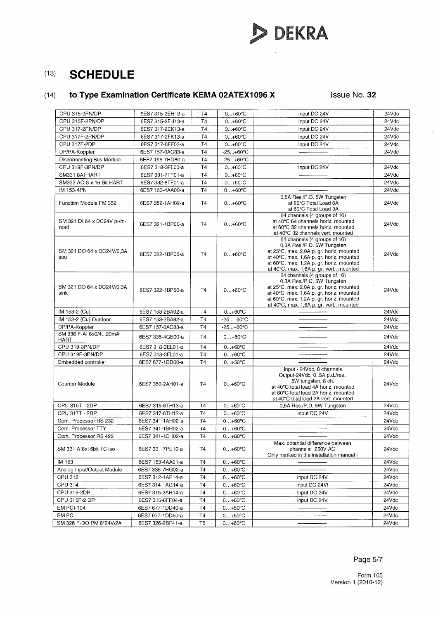

# (14) **to Type Examination Certificate KEMA 02ATEX1096 X** Issue No. 32

| CPU 315F-2PN/DP<br>24Vdc<br>6ES7 315-2FH13-a<br>T4<br>$0+60°C$<br>24Vdc<br>CPU 317-2PN/DP<br>6ES7 317-2EK13-a<br>T4<br>$0+60^{\circ}C$<br>Input DC 24V<br>CPU 317F-2PN/DP<br>6ES7 317-2FK13-a<br>T4<br>$0+60°C$<br>Input DC 24V<br>24Vdc<br>CPU 317F-2DP<br><b>T4</b><br>6ES7 317-6FF03-a<br>$0+60^{\circ}C$<br>Input DC 24V<br>24Vdc<br><b>T4</b><br>DP/PA-Koppler<br>6ES7 157-0AC83-a<br>$-25+60°C$<br>24Vdc<br>T <sub>4</sub><br>Disconnecting Bus Module<br>6ES7 195-7HG80-a<br>$-25+60°C$<br>CPU 319F-3PN/DP<br>T <sub>4</sub><br>24Vdc<br>$0+60^{\circ}C$<br>6ES7 318-3FL00-a<br>Input DC 24V<br>SM331 8AI HART<br>T <sub>4</sub><br>6ES7 331-7TF01-a<br>$0+60°C$<br>24Vdc<br>24Vdc<br>SM332 AO 8 x 16 Bit HART<br>6ES7 332-8TF01-a<br><b>T4</b><br>$0+60^{\circ}C$<br>IM 153-4PN<br><b>T4</b><br>24Vdc<br>6ES7 153-4AA00-a<br>$0+60°C$<br>0,5A Res./P.D. 5W Tungsten<br>Function Module FM 352<br>6ES7 352-1AH02-a<br>T <sub>4</sub><br>at 20°C Total Load 6A<br>24Vdc<br>$0+60°C$<br>at 60°C Total Load 3A<br>64 channels (4 groups of 16)<br>at 40°C 64 channels horiz. mounted<br>SM 321 DI 64 x DC24V p-/m-<br>24Vdc<br>6ES7 321-1BP00-a<br><b>T4</b><br>$0+60^{\circ}C$<br>at 60°C 32 channels horiz, mounted<br>read<br>at 40°C 32 channels vert. mounted<br>64 channels (4 groups of 16)<br>0,3A Res./P.D. 5W Tungsten<br>SM 321 DO 64 x DC24V/0,3A<br>at 25°C, max. 2,0A p. gr. horiz. mounted<br>24Vdc<br>6ES7 322-1BP00-a<br>T4<br>$0+60°C$<br>at 40°C, max. 1,6A p. gr. horiz. mounted<br>sou<br>at 60°C, max. 1,2A p. gr. horiz. mounted<br>at 40°C, max. 1,6A p. gr. vert mounted<br>64 channels (4 groups of 16)<br>0,3A Res./P.D. 5W Tungsten<br>at 25°C, max. 2,0A p. gr. horiz. mounted<br>SM 321 DO 64 x DC24V/0,3A<br>6ES7 322-1BP50-a<br><b>T4</b><br>24Vdc<br>$0+60°C$<br>at 40°C, max. 1,6A p. gr. horiz. mounted<br>sink<br>at 60°C, max. 1,2A p. gr. horiz. mounted<br>at 40°C, max. 1,6A p. gr. vert mounted<br>24Vdc<br>IM 153-2 (Cu)<br>6ES7 153-2BA02-a<br><b>T4</b><br>$0+60^{\circ}C$<br>IM 153-2 (Cu) Outdoor<br>T <sub>4</sub><br>24Vdc<br>6ES7 153-2BA82-a<br>$-25+60°C$<br>DP/PA-Koppler<br>T <sub>4</sub><br>24Vdc<br>6ES7 157-0AC83-a<br>$-25+60°C$<br>SM 336 F-AI 6x0/420mA<br><b>T4</b><br>$0+60^{\circ}C$<br>24Vdc<br>6ES7 336-4GE00-a<br><b>HART</b><br>CPU 319-3PN/DP<br>24Vdc<br>6ES7 318-3EL01-a<br>T4<br>$0+60°C$<br>CPU 319F-3PN/DP<br><b>T4</b><br>$0+60^{\circ}C$<br>24Vdc<br>6ES7 318-3FL01-a<br>24Vdc<br>Embedded controller<br>6ES7 677-1DD00-a<br>T <sub>4</sub><br>$0. +50°C$<br>Input - 24Vdc, 8 channels<br>Output-24Vdc, 0, 5A p.d./res.,<br>5W tungsten, 8 ch.<br>Counter Module<br>6ES7 350-2AH01-a<br>T4<br>$0+60^{\circ}C$<br>24Vdc<br>at 40°C total load 4A horiz. mounted<br>at 60°C total load 2A horiz, mounted<br>at 40°C total load 2A vert. mounted<br>CPU 315T - 2DP<br>24Vdc<br>6ES7 315-6TH13-a<br><b>T4</b><br>$0+60°C$<br>0,5A Res./P.D. 5W Tungsten<br>CPU 317T - 2DP<br>Input DC 24V<br>24Vdc<br>6ES7 317-6TH13-a<br>T4<br>$0+60^{\circ}C$<br>Com. Processor RS 232<br><b>T4</b><br>$0+60^{\circ}C$<br>24Vdc<br>6ES7 341-1AH02-a<br>T4<br>24Vdc<br>Com. Processor TTY<br>$0+60^{\circ}C$<br>6ES7 341-1BH02-a<br><b>T4</b><br>24Vdc<br>Com. Processor RS 422<br>6ES7 341-1CH02-a<br>$0+60^{\circ}C$<br>Max. potential difference between<br>24Vdc<br>SM 331 Al6x16bit TC iso<br>6ES7 331-7PE10-a<br>Т4<br>$0+60^{\circ}C$<br>channels: 250V AC<br>Only marked in the installation manual!<br>24Vdc<br>IM 153<br>6ES7 153-4AA01-a<br>Τ4<br>$0+60°C$<br>Analog Input/Output Module<br>T4<br>24Vdc<br>6ES7 335-7HG02-a<br>$0+60^{\circ}C$<br>CPU 312<br>24Vdc<br>T4<br>$0+60^{\circ}C$<br>6ES7 312-1AE14-a<br>Input DC 24V<br>CPU 314<br>T <sub>4</sub><br>24Vdc<br>6ES7 314-1AG14-a<br>$0+60^{\circ}C$<br>Input DC 24V!<br>CPU 315-2DP<br>Τ4<br>Input DC 24V<br>24Vdc<br>6ES7 315-2AH14-a<br>$0+60^{\circ}C$<br>CPU 315F-2 DP<br>T4<br>6ES7 315-6FF04-a<br>$0+60°C$<br>Input DC 24V<br>24Vdc<br><b>EM PCI-104</b><br>T <sub>4</sub><br>24Vdc<br>6ES7 677-1DD40-a<br>$0+50^{\circ}C$<br>EM PC<br>6ES7 677-1DD50-a<br><b>T4</b><br>24Vdc<br>$0+50°C$<br>24Vdc<br>SM 326 F-DO PM 8*24V/2A<br>6ES7 326-2BF41-a<br>T <sub>5</sub><br>$0+60^{\circ}C$ | CPU 315-2PN/DP | 6ES7 315-2EH13-a | T4 | $0+60^{\circ}C$ | Input DC 24V | 24Vdc |
|------------------------------------------------------------------------------------------------------------------------------------------------------------------------------------------------------------------------------------------------------------------------------------------------------------------------------------------------------------------------------------------------------------------------------------------------------------------------------------------------------------------------------------------------------------------------------------------------------------------------------------------------------------------------------------------------------------------------------------------------------------------------------------------------------------------------------------------------------------------------------------------------------------------------------------------------------------------------------------------------------------------------------------------------------------------------------------------------------------------------------------------------------------------------------------------------------------------------------------------------------------------------------------------------------------------------------------------------------------------------------------------------------------------------------------------------------------------------------------------------------------------------------------------------------------------------------------------------------------------------------------------------------------------------------------------------------------------------------------------------------------------------------------------------------------------------------------------------------------------------------------------------------------------------------------------------------------------------------------------------------------------------------------------------------------------------------------------------------------------------------------------------------------------------------------------------------------------------------------------------------------------------------------------------------------------------------------------------------------------------------------------------------------------------------------------------------------------------------------------------------------------------------------------------------------------------------------------------------------------------------------------------------------------------------------------------------------------------------------------------------------------------------------------------------------------------------------------------------------------------------------------------------------------------------------------------------------------------------------------------------------------------------------------------------------------------------------------------------------------------------------------------------------------------------------------------------------------------------------------------------------------------------------------------------------------------------------------------------------------------------------------------------------------------------------------------------------------------------------------------------------------------------------------------------------------------------------------------------------------------------------------------------------------------------------------------------------------------------------------------------------------------------------------------------------------------------------------------------------------------------------------------------------------------------------------------------------------------------------------------------------------------------------------------------------------------------------------------------------------------------------------------------------------------------------------------------------------------------|----------------|------------------|----|-----------------|--------------|-------|
|                                                                                                                                                                                                                                                                                                                                                                                                                                                                                                                                                                                                                                                                                                                                                                                                                                                                                                                                                                                                                                                                                                                                                                                                                                                                                                                                                                                                                                                                                                                                                                                                                                                                                                                                                                                                                                                                                                                                                                                                                                                                                                                                                                                                                                                                                                                                                                                                                                                                                                                                                                                                                                                                                                                                                                                                                                                                                                                                                                                                                                                                                                                                                                                                                                                                                                                                                                                                                                                                                                                                                                                                                                                                                                                                                                                                                                                                                                                                                                                                                                                                                                                                                                                                                              |                |                  |    |                 | Input DC 24V |       |
|                                                                                                                                                                                                                                                                                                                                                                                                                                                                                                                                                                                                                                                                                                                                                                                                                                                                                                                                                                                                                                                                                                                                                                                                                                                                                                                                                                                                                                                                                                                                                                                                                                                                                                                                                                                                                                                                                                                                                                                                                                                                                                                                                                                                                                                                                                                                                                                                                                                                                                                                                                                                                                                                                                                                                                                                                                                                                                                                                                                                                                                                                                                                                                                                                                                                                                                                                                                                                                                                                                                                                                                                                                                                                                                                                                                                                                                                                                                                                                                                                                                                                                                                                                                                                              |                |                  |    |                 |              |       |
|                                                                                                                                                                                                                                                                                                                                                                                                                                                                                                                                                                                                                                                                                                                                                                                                                                                                                                                                                                                                                                                                                                                                                                                                                                                                                                                                                                                                                                                                                                                                                                                                                                                                                                                                                                                                                                                                                                                                                                                                                                                                                                                                                                                                                                                                                                                                                                                                                                                                                                                                                                                                                                                                                                                                                                                                                                                                                                                                                                                                                                                                                                                                                                                                                                                                                                                                                                                                                                                                                                                                                                                                                                                                                                                                                                                                                                                                                                                                                                                                                                                                                                                                                                                                                              |                |                  |    |                 |              |       |
|                                                                                                                                                                                                                                                                                                                                                                                                                                                                                                                                                                                                                                                                                                                                                                                                                                                                                                                                                                                                                                                                                                                                                                                                                                                                                                                                                                                                                                                                                                                                                                                                                                                                                                                                                                                                                                                                                                                                                                                                                                                                                                                                                                                                                                                                                                                                                                                                                                                                                                                                                                                                                                                                                                                                                                                                                                                                                                                                                                                                                                                                                                                                                                                                                                                                                                                                                                                                                                                                                                                                                                                                                                                                                                                                                                                                                                                                                                                                                                                                                                                                                                                                                                                                                              |                |                  |    |                 |              |       |
|                                                                                                                                                                                                                                                                                                                                                                                                                                                                                                                                                                                                                                                                                                                                                                                                                                                                                                                                                                                                                                                                                                                                                                                                                                                                                                                                                                                                                                                                                                                                                                                                                                                                                                                                                                                                                                                                                                                                                                                                                                                                                                                                                                                                                                                                                                                                                                                                                                                                                                                                                                                                                                                                                                                                                                                                                                                                                                                                                                                                                                                                                                                                                                                                                                                                                                                                                                                                                                                                                                                                                                                                                                                                                                                                                                                                                                                                                                                                                                                                                                                                                                                                                                                                                              |                |                  |    |                 |              |       |
|                                                                                                                                                                                                                                                                                                                                                                                                                                                                                                                                                                                                                                                                                                                                                                                                                                                                                                                                                                                                                                                                                                                                                                                                                                                                                                                                                                                                                                                                                                                                                                                                                                                                                                                                                                                                                                                                                                                                                                                                                                                                                                                                                                                                                                                                                                                                                                                                                                                                                                                                                                                                                                                                                                                                                                                                                                                                                                                                                                                                                                                                                                                                                                                                                                                                                                                                                                                                                                                                                                                                                                                                                                                                                                                                                                                                                                                                                                                                                                                                                                                                                                                                                                                                                              |                |                  |    |                 |              |       |
|                                                                                                                                                                                                                                                                                                                                                                                                                                                                                                                                                                                                                                                                                                                                                                                                                                                                                                                                                                                                                                                                                                                                                                                                                                                                                                                                                                                                                                                                                                                                                                                                                                                                                                                                                                                                                                                                                                                                                                                                                                                                                                                                                                                                                                                                                                                                                                                                                                                                                                                                                                                                                                                                                                                                                                                                                                                                                                                                                                                                                                                                                                                                                                                                                                                                                                                                                                                                                                                                                                                                                                                                                                                                                                                                                                                                                                                                                                                                                                                                                                                                                                                                                                                                                              |                |                  |    |                 |              |       |
|                                                                                                                                                                                                                                                                                                                                                                                                                                                                                                                                                                                                                                                                                                                                                                                                                                                                                                                                                                                                                                                                                                                                                                                                                                                                                                                                                                                                                                                                                                                                                                                                                                                                                                                                                                                                                                                                                                                                                                                                                                                                                                                                                                                                                                                                                                                                                                                                                                                                                                                                                                                                                                                                                                                                                                                                                                                                                                                                                                                                                                                                                                                                                                                                                                                                                                                                                                                                                                                                                                                                                                                                                                                                                                                                                                                                                                                                                                                                                                                                                                                                                                                                                                                                                              |                |                  |    |                 |              |       |
|                                                                                                                                                                                                                                                                                                                                                                                                                                                                                                                                                                                                                                                                                                                                                                                                                                                                                                                                                                                                                                                                                                                                                                                                                                                                                                                                                                                                                                                                                                                                                                                                                                                                                                                                                                                                                                                                                                                                                                                                                                                                                                                                                                                                                                                                                                                                                                                                                                                                                                                                                                                                                                                                                                                                                                                                                                                                                                                                                                                                                                                                                                                                                                                                                                                                                                                                                                                                                                                                                                                                                                                                                                                                                                                                                                                                                                                                                                                                                                                                                                                                                                                                                                                                                              |                |                  |    |                 |              |       |
|                                                                                                                                                                                                                                                                                                                                                                                                                                                                                                                                                                                                                                                                                                                                                                                                                                                                                                                                                                                                                                                                                                                                                                                                                                                                                                                                                                                                                                                                                                                                                                                                                                                                                                                                                                                                                                                                                                                                                                                                                                                                                                                                                                                                                                                                                                                                                                                                                                                                                                                                                                                                                                                                                                                                                                                                                                                                                                                                                                                                                                                                                                                                                                                                                                                                                                                                                                                                                                                                                                                                                                                                                                                                                                                                                                                                                                                                                                                                                                                                                                                                                                                                                                                                                              |                |                  |    |                 |              |       |
|                                                                                                                                                                                                                                                                                                                                                                                                                                                                                                                                                                                                                                                                                                                                                                                                                                                                                                                                                                                                                                                                                                                                                                                                                                                                                                                                                                                                                                                                                                                                                                                                                                                                                                                                                                                                                                                                                                                                                                                                                                                                                                                                                                                                                                                                                                                                                                                                                                                                                                                                                                                                                                                                                                                                                                                                                                                                                                                                                                                                                                                                                                                                                                                                                                                                                                                                                                                                                                                                                                                                                                                                                                                                                                                                                                                                                                                                                                                                                                                                                                                                                                                                                                                                                              |                |                  |    |                 |              |       |
|                                                                                                                                                                                                                                                                                                                                                                                                                                                                                                                                                                                                                                                                                                                                                                                                                                                                                                                                                                                                                                                                                                                                                                                                                                                                                                                                                                                                                                                                                                                                                                                                                                                                                                                                                                                                                                                                                                                                                                                                                                                                                                                                                                                                                                                                                                                                                                                                                                                                                                                                                                                                                                                                                                                                                                                                                                                                                                                                                                                                                                                                                                                                                                                                                                                                                                                                                                                                                                                                                                                                                                                                                                                                                                                                                                                                                                                                                                                                                                                                                                                                                                                                                                                                                              |                |                  |    |                 |              |       |
|                                                                                                                                                                                                                                                                                                                                                                                                                                                                                                                                                                                                                                                                                                                                                                                                                                                                                                                                                                                                                                                                                                                                                                                                                                                                                                                                                                                                                                                                                                                                                                                                                                                                                                                                                                                                                                                                                                                                                                                                                                                                                                                                                                                                                                                                                                                                                                                                                                                                                                                                                                                                                                                                                                                                                                                                                                                                                                                                                                                                                                                                                                                                                                                                                                                                                                                                                                                                                                                                                                                                                                                                                                                                                                                                                                                                                                                                                                                                                                                                                                                                                                                                                                                                                              |                |                  |    |                 |              |       |
|                                                                                                                                                                                                                                                                                                                                                                                                                                                                                                                                                                                                                                                                                                                                                                                                                                                                                                                                                                                                                                                                                                                                                                                                                                                                                                                                                                                                                                                                                                                                                                                                                                                                                                                                                                                                                                                                                                                                                                                                                                                                                                                                                                                                                                                                                                                                                                                                                                                                                                                                                                                                                                                                                                                                                                                                                                                                                                                                                                                                                                                                                                                                                                                                                                                                                                                                                                                                                                                                                                                                                                                                                                                                                                                                                                                                                                                                                                                                                                                                                                                                                                                                                                                                                              |                |                  |    |                 |              |       |
|                                                                                                                                                                                                                                                                                                                                                                                                                                                                                                                                                                                                                                                                                                                                                                                                                                                                                                                                                                                                                                                                                                                                                                                                                                                                                                                                                                                                                                                                                                                                                                                                                                                                                                                                                                                                                                                                                                                                                                                                                                                                                                                                                                                                                                                                                                                                                                                                                                                                                                                                                                                                                                                                                                                                                                                                                                                                                                                                                                                                                                                                                                                                                                                                                                                                                                                                                                                                                                                                                                                                                                                                                                                                                                                                                                                                                                                                                                                                                                                                                                                                                                                                                                                                                              |                |                  |    |                 |              |       |
|                                                                                                                                                                                                                                                                                                                                                                                                                                                                                                                                                                                                                                                                                                                                                                                                                                                                                                                                                                                                                                                                                                                                                                                                                                                                                                                                                                                                                                                                                                                                                                                                                                                                                                                                                                                                                                                                                                                                                                                                                                                                                                                                                                                                                                                                                                                                                                                                                                                                                                                                                                                                                                                                                                                                                                                                                                                                                                                                                                                                                                                                                                                                                                                                                                                                                                                                                                                                                                                                                                                                                                                                                                                                                                                                                                                                                                                                                                                                                                                                                                                                                                                                                                                                                              |                |                  |    |                 |              |       |
|                                                                                                                                                                                                                                                                                                                                                                                                                                                                                                                                                                                                                                                                                                                                                                                                                                                                                                                                                                                                                                                                                                                                                                                                                                                                                                                                                                                                                                                                                                                                                                                                                                                                                                                                                                                                                                                                                                                                                                                                                                                                                                                                                                                                                                                                                                                                                                                                                                                                                                                                                                                                                                                                                                                                                                                                                                                                                                                                                                                                                                                                                                                                                                                                                                                                                                                                                                                                                                                                                                                                                                                                                                                                                                                                                                                                                                                                                                                                                                                                                                                                                                                                                                                                                              |                |                  |    |                 |              |       |
|                                                                                                                                                                                                                                                                                                                                                                                                                                                                                                                                                                                                                                                                                                                                                                                                                                                                                                                                                                                                                                                                                                                                                                                                                                                                                                                                                                                                                                                                                                                                                                                                                                                                                                                                                                                                                                                                                                                                                                                                                                                                                                                                                                                                                                                                                                                                                                                                                                                                                                                                                                                                                                                                                                                                                                                                                                                                                                                                                                                                                                                                                                                                                                                                                                                                                                                                                                                                                                                                                                                                                                                                                                                                                                                                                                                                                                                                                                                                                                                                                                                                                                                                                                                                                              |                |                  |    |                 |              |       |
|                                                                                                                                                                                                                                                                                                                                                                                                                                                                                                                                                                                                                                                                                                                                                                                                                                                                                                                                                                                                                                                                                                                                                                                                                                                                                                                                                                                                                                                                                                                                                                                                                                                                                                                                                                                                                                                                                                                                                                                                                                                                                                                                                                                                                                                                                                                                                                                                                                                                                                                                                                                                                                                                                                                                                                                                                                                                                                                                                                                                                                                                                                                                                                                                                                                                                                                                                                                                                                                                                                                                                                                                                                                                                                                                                                                                                                                                                                                                                                                                                                                                                                                                                                                                                              |                |                  |    |                 |              |       |
|                                                                                                                                                                                                                                                                                                                                                                                                                                                                                                                                                                                                                                                                                                                                                                                                                                                                                                                                                                                                                                                                                                                                                                                                                                                                                                                                                                                                                                                                                                                                                                                                                                                                                                                                                                                                                                                                                                                                                                                                                                                                                                                                                                                                                                                                                                                                                                                                                                                                                                                                                                                                                                                                                                                                                                                                                                                                                                                                                                                                                                                                                                                                                                                                                                                                                                                                                                                                                                                                                                                                                                                                                                                                                                                                                                                                                                                                                                                                                                                                                                                                                                                                                                                                                              |                |                  |    |                 |              |       |
|                                                                                                                                                                                                                                                                                                                                                                                                                                                                                                                                                                                                                                                                                                                                                                                                                                                                                                                                                                                                                                                                                                                                                                                                                                                                                                                                                                                                                                                                                                                                                                                                                                                                                                                                                                                                                                                                                                                                                                                                                                                                                                                                                                                                                                                                                                                                                                                                                                                                                                                                                                                                                                                                                                                                                                                                                                                                                                                                                                                                                                                                                                                                                                                                                                                                                                                                                                                                                                                                                                                                                                                                                                                                                                                                                                                                                                                                                                                                                                                                                                                                                                                                                                                                                              |                |                  |    |                 |              |       |
|                                                                                                                                                                                                                                                                                                                                                                                                                                                                                                                                                                                                                                                                                                                                                                                                                                                                                                                                                                                                                                                                                                                                                                                                                                                                                                                                                                                                                                                                                                                                                                                                                                                                                                                                                                                                                                                                                                                                                                                                                                                                                                                                                                                                                                                                                                                                                                                                                                                                                                                                                                                                                                                                                                                                                                                                                                                                                                                                                                                                                                                                                                                                                                                                                                                                                                                                                                                                                                                                                                                                                                                                                                                                                                                                                                                                                                                                                                                                                                                                                                                                                                                                                                                                                              |                |                  |    |                 |              |       |
|                                                                                                                                                                                                                                                                                                                                                                                                                                                                                                                                                                                                                                                                                                                                                                                                                                                                                                                                                                                                                                                                                                                                                                                                                                                                                                                                                                                                                                                                                                                                                                                                                                                                                                                                                                                                                                                                                                                                                                                                                                                                                                                                                                                                                                                                                                                                                                                                                                                                                                                                                                                                                                                                                                                                                                                                                                                                                                                                                                                                                                                                                                                                                                                                                                                                                                                                                                                                                                                                                                                                                                                                                                                                                                                                                                                                                                                                                                                                                                                                                                                                                                                                                                                                                              |                |                  |    |                 |              |       |
|                                                                                                                                                                                                                                                                                                                                                                                                                                                                                                                                                                                                                                                                                                                                                                                                                                                                                                                                                                                                                                                                                                                                                                                                                                                                                                                                                                                                                                                                                                                                                                                                                                                                                                                                                                                                                                                                                                                                                                                                                                                                                                                                                                                                                                                                                                                                                                                                                                                                                                                                                                                                                                                                                                                                                                                                                                                                                                                                                                                                                                                                                                                                                                                                                                                                                                                                                                                                                                                                                                                                                                                                                                                                                                                                                                                                                                                                                                                                                                                                                                                                                                                                                                                                                              |                |                  |    |                 |              |       |
|                                                                                                                                                                                                                                                                                                                                                                                                                                                                                                                                                                                                                                                                                                                                                                                                                                                                                                                                                                                                                                                                                                                                                                                                                                                                                                                                                                                                                                                                                                                                                                                                                                                                                                                                                                                                                                                                                                                                                                                                                                                                                                                                                                                                                                                                                                                                                                                                                                                                                                                                                                                                                                                                                                                                                                                                                                                                                                                                                                                                                                                                                                                                                                                                                                                                                                                                                                                                                                                                                                                                                                                                                                                                                                                                                                                                                                                                                                                                                                                                                                                                                                                                                                                                                              |                |                  |    |                 |              |       |
|                                                                                                                                                                                                                                                                                                                                                                                                                                                                                                                                                                                                                                                                                                                                                                                                                                                                                                                                                                                                                                                                                                                                                                                                                                                                                                                                                                                                                                                                                                                                                                                                                                                                                                                                                                                                                                                                                                                                                                                                                                                                                                                                                                                                                                                                                                                                                                                                                                                                                                                                                                                                                                                                                                                                                                                                                                                                                                                                                                                                                                                                                                                                                                                                                                                                                                                                                                                                                                                                                                                                                                                                                                                                                                                                                                                                                                                                                                                                                                                                                                                                                                                                                                                                                              |                |                  |    |                 |              |       |
|                                                                                                                                                                                                                                                                                                                                                                                                                                                                                                                                                                                                                                                                                                                                                                                                                                                                                                                                                                                                                                                                                                                                                                                                                                                                                                                                                                                                                                                                                                                                                                                                                                                                                                                                                                                                                                                                                                                                                                                                                                                                                                                                                                                                                                                                                                                                                                                                                                                                                                                                                                                                                                                                                                                                                                                                                                                                                                                                                                                                                                                                                                                                                                                                                                                                                                                                                                                                                                                                                                                                                                                                                                                                                                                                                                                                                                                                                                                                                                                                                                                                                                                                                                                                                              |                |                  |    |                 |              |       |
|                                                                                                                                                                                                                                                                                                                                                                                                                                                                                                                                                                                                                                                                                                                                                                                                                                                                                                                                                                                                                                                                                                                                                                                                                                                                                                                                                                                                                                                                                                                                                                                                                                                                                                                                                                                                                                                                                                                                                                                                                                                                                                                                                                                                                                                                                                                                                                                                                                                                                                                                                                                                                                                                                                                                                                                                                                                                                                                                                                                                                                                                                                                                                                                                                                                                                                                                                                                                                                                                                                                                                                                                                                                                                                                                                                                                                                                                                                                                                                                                                                                                                                                                                                                                                              |                |                  |    |                 |              |       |
|                                                                                                                                                                                                                                                                                                                                                                                                                                                                                                                                                                                                                                                                                                                                                                                                                                                                                                                                                                                                                                                                                                                                                                                                                                                                                                                                                                                                                                                                                                                                                                                                                                                                                                                                                                                                                                                                                                                                                                                                                                                                                                                                                                                                                                                                                                                                                                                                                                                                                                                                                                                                                                                                                                                                                                                                                                                                                                                                                                                                                                                                                                                                                                                                                                                                                                                                                                                                                                                                                                                                                                                                                                                                                                                                                                                                                                                                                                                                                                                                                                                                                                                                                                                                                              |                |                  |    |                 |              |       |
|                                                                                                                                                                                                                                                                                                                                                                                                                                                                                                                                                                                                                                                                                                                                                                                                                                                                                                                                                                                                                                                                                                                                                                                                                                                                                                                                                                                                                                                                                                                                                                                                                                                                                                                                                                                                                                                                                                                                                                                                                                                                                                                                                                                                                                                                                                                                                                                                                                                                                                                                                                                                                                                                                                                                                                                                                                                                                                                                                                                                                                                                                                                                                                                                                                                                                                                                                                                                                                                                                                                                                                                                                                                                                                                                                                                                                                                                                                                                                                                                                                                                                                                                                                                                                              |                |                  |    |                 |              |       |
|                                                                                                                                                                                                                                                                                                                                                                                                                                                                                                                                                                                                                                                                                                                                                                                                                                                                                                                                                                                                                                                                                                                                                                                                                                                                                                                                                                                                                                                                                                                                                                                                                                                                                                                                                                                                                                                                                                                                                                                                                                                                                                                                                                                                                                                                                                                                                                                                                                                                                                                                                                                                                                                                                                                                                                                                                                                                                                                                                                                                                                                                                                                                                                                                                                                                                                                                                                                                                                                                                                                                                                                                                                                                                                                                                                                                                                                                                                                                                                                                                                                                                                                                                                                                                              |                |                  |    |                 |              |       |
|                                                                                                                                                                                                                                                                                                                                                                                                                                                                                                                                                                                                                                                                                                                                                                                                                                                                                                                                                                                                                                                                                                                                                                                                                                                                                                                                                                                                                                                                                                                                                                                                                                                                                                                                                                                                                                                                                                                                                                                                                                                                                                                                                                                                                                                                                                                                                                                                                                                                                                                                                                                                                                                                                                                                                                                                                                                                                                                                                                                                                                                                                                                                                                                                                                                                                                                                                                                                                                                                                                                                                                                                                                                                                                                                                                                                                                                                                                                                                                                                                                                                                                                                                                                                                              |                |                  |    |                 |              |       |
|                                                                                                                                                                                                                                                                                                                                                                                                                                                                                                                                                                                                                                                                                                                                                                                                                                                                                                                                                                                                                                                                                                                                                                                                                                                                                                                                                                                                                                                                                                                                                                                                                                                                                                                                                                                                                                                                                                                                                                                                                                                                                                                                                                                                                                                                                                                                                                                                                                                                                                                                                                                                                                                                                                                                                                                                                                                                                                                                                                                                                                                                                                                                                                                                                                                                                                                                                                                                                                                                                                                                                                                                                                                                                                                                                                                                                                                                                                                                                                                                                                                                                                                                                                                                                              |                |                  |    |                 |              |       |
|                                                                                                                                                                                                                                                                                                                                                                                                                                                                                                                                                                                                                                                                                                                                                                                                                                                                                                                                                                                                                                                                                                                                                                                                                                                                                                                                                                                                                                                                                                                                                                                                                                                                                                                                                                                                                                                                                                                                                                                                                                                                                                                                                                                                                                                                                                                                                                                                                                                                                                                                                                                                                                                                                                                                                                                                                                                                                                                                                                                                                                                                                                                                                                                                                                                                                                                                                                                                                                                                                                                                                                                                                                                                                                                                                                                                                                                                                                                                                                                                                                                                                                                                                                                                                              |                |                  |    |                 |              |       |
|                                                                                                                                                                                                                                                                                                                                                                                                                                                                                                                                                                                                                                                                                                                                                                                                                                                                                                                                                                                                                                                                                                                                                                                                                                                                                                                                                                                                                                                                                                                                                                                                                                                                                                                                                                                                                                                                                                                                                                                                                                                                                                                                                                                                                                                                                                                                                                                                                                                                                                                                                                                                                                                                                                                                                                                                                                                                                                                                                                                                                                                                                                                                                                                                                                                                                                                                                                                                                                                                                                                                                                                                                                                                                                                                                                                                                                                                                                                                                                                                                                                                                                                                                                                                                              |                |                  |    |                 |              |       |
|                                                                                                                                                                                                                                                                                                                                                                                                                                                                                                                                                                                                                                                                                                                                                                                                                                                                                                                                                                                                                                                                                                                                                                                                                                                                                                                                                                                                                                                                                                                                                                                                                                                                                                                                                                                                                                                                                                                                                                                                                                                                                                                                                                                                                                                                                                                                                                                                                                                                                                                                                                                                                                                                                                                                                                                                                                                                                                                                                                                                                                                                                                                                                                                                                                                                                                                                                                                                                                                                                                                                                                                                                                                                                                                                                                                                                                                                                                                                                                                                                                                                                                                                                                                                                              |                |                  |    |                 |              |       |
|                                                                                                                                                                                                                                                                                                                                                                                                                                                                                                                                                                                                                                                                                                                                                                                                                                                                                                                                                                                                                                                                                                                                                                                                                                                                                                                                                                                                                                                                                                                                                                                                                                                                                                                                                                                                                                                                                                                                                                                                                                                                                                                                                                                                                                                                                                                                                                                                                                                                                                                                                                                                                                                                                                                                                                                                                                                                                                                                                                                                                                                                                                                                                                                                                                                                                                                                                                                                                                                                                                                                                                                                                                                                                                                                                                                                                                                                                                                                                                                                                                                                                                                                                                                                                              |                |                  |    |                 |              |       |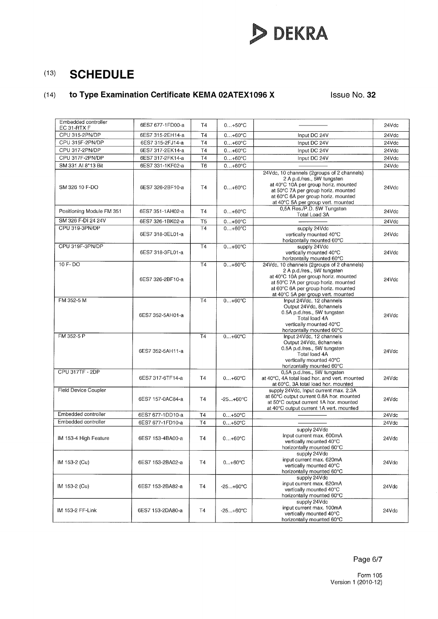# **DEKRA**

# (13) **SCHEDULE**

# (14) **to Type Examination Certificate KEMA 02ATEX1096 X** Issue No. 32

| Embedded controller<br>EC 31-RTX F | 6ES7 677-1FD00-a | T <sub>4</sub>  | $0+50°C$          |                                                                                                                                                                                                                                      | 24Vdc |
|------------------------------------|------------------|-----------------|-------------------|--------------------------------------------------------------------------------------------------------------------------------------------------------------------------------------------------------------------------------------|-------|
| CPU 315-2PN/DP                     | 6ES7 315-2EH14-a | T4              | $0+60^{\circ}C$   | Input DC 24V                                                                                                                                                                                                                         | 24Vdc |
| CPU 315F-2PN/DP                    | 6ES7 315-2FJ14-a | T <sub>4</sub>  | $0+60^{\circ}C$   | Input DC 24V                                                                                                                                                                                                                         | 24Vdc |
| CPU 317-2PN/DP                     | 6ES7 317-2EK14-a | T4              | $0+60^{\circ}C$   | Input DC 24V                                                                                                                                                                                                                         | 24Vdc |
| CPU 317F-2PN/DP                    | 6ES7 317-2FK14-a | <b>T4</b>       | $0+60°C$          | Input DC 24V                                                                                                                                                                                                                         | 24Vdc |
| SM 331 Al 8*13 Bit                 | 6ES7 331-1KF02-a | T <sub>6</sub>  | $0+60^{\circ}C$   |                                                                                                                                                                                                                                      | 24Vdc |
| SM 326 10 F-DO                     | 6ES7 326-2BF10-a | T4              | $0+60^{\circ}C$   | 24Vdc, 10 channels (2groups of 2 channels)<br>2 A p.d./res., 5W tungsten<br>at 40°C 10A per group horiz. mounted<br>at 50°C 7A per group horiz. mounted<br>at 60°C 6A per group horiz. mounted<br>at 40°C 5A per group vert. mounted | 24Vdc |
| Positioning Module FM 351          | 6ES7 351-1AH02-a | T <sub>4</sub>  | $0+60^{\circ}C$   | 0,5A Res./P.D. 5W Tungsten<br>Total Load 3A                                                                                                                                                                                          | 24Vdc |
| SM 326 F-DI 24 24V                 | 6ES7 326-1BK02-a | T <sub>5</sub>  | $0+60^{\circ}C$   |                                                                                                                                                                                                                                      | 24Vdc |
| CPU 319-3PN/DP                     | 6ES7 318-3EL01-a | $\overline{14}$ | $0+60^{\circ}C$   | supply 24Vdc<br>vertically mounted 40°C<br>horizontally mounted 60°C                                                                                                                                                                 | 24Vdc |
| CPU 319F-3PN/DP                    | 6ES7 318-3FL01-a | <b>T4</b>       | $0+60°C$          | supply 24Vdc<br>vertically mounted 40°C<br>horizontally mounted 60°C                                                                                                                                                                 | 24Vdc |
| 10 F-DO                            | 6ES7 326-2BF10-a | T4              | $0+60^{\circ}C$   | 24Vdc, 10 channels (2groups of 2 channels)<br>2 A p.d./res., 5W tungsten<br>at 40°C 10A per group horiz. mounted<br>at 50°C 7A per group horiz. mounted<br>at 60°C 6A per group horiz. mounted<br>at 40°C 5A per group vert. mounted | 24Vdc |
| FM 352-5 M                         | 6ES7 352-5AH01-a | T <sub>4</sub>  | $0+60^{\circ}C$   | Input 24Vdc, 12 channels<br>Output 24Vdc, 8channels<br>0.5A p.d./res., 5W tungsten<br>Total load 4A<br>vertically mounted 40°C<br>horizontally mounted 60°C                                                                          | 24Vdc |
| FM 352-5 P                         | 6ES7 352-5AH11-a | T4              | $0+60°C$          | Input 24Vdc, 12 channels<br>Output 24Vdc, 8channels<br>0.5A p.d./res., 5W tungsten<br>Total load 4A<br>vertically mounted 40°C<br>horizontally mounted 60°C                                                                          | 24Vdc |
| CPU 317TF - 2DP                    | 6ES7 317-6TF14-a | T4              | $0+60^{\circ}C$   | 0,5A p.d./res., 5W tungsten<br>at 40°C, 4A total load hor. and vert. mounted<br>at 60°C, 3A total load hor. mounted                                                                                                                  | 24Vdc |
| Field Device Coupler               | 6ES7 157-0AC84-a | <b>T4</b>       | $-25+60^{\circ}C$ | supply 24Vdc, Input current max. 2.3A<br>at 60°C output current 0.8A hor. mounted<br>at 50°C output current 1A hor. mounted<br>at 40°C output current 1A vert. mounted                                                               | 24Vdc |
| Embedded controller                | 6ES7 677-1DD10-a | T4              | $0+50°C$          |                                                                                                                                                                                                                                      | 24Vdc |
| Embedded controller                | 6ES7 677-1FD10-a | T <sub>4</sub>  | $0+50°C$          |                                                                                                                                                                                                                                      | 24Vdc |
| IM 153-4 High Feature              | 6ES7 153-4BA00-a | T4              | $0.460^{\circ}$ C | supply 24Vdc<br>Input current max. 600mA<br>vertically mounted 40°C<br>horizontally mounted 60°C                                                                                                                                     | 24Vdc |
| IM 153-2 (Cu)                      | 6ES7 153-2BA02-a | T <sub>4</sub>  | $0+60^{\circ}C$   | supply 24Vdc<br>input current max. 620mA<br>vertically mounted 40°C<br>horizontally mounted 60°C                                                                                                                                     | 24Vdc |
| IM 153-2 (Cu)                      | 6ES7 153-2BA82-a | T4              | $-25+60°C$        | supply 24Vdc<br>input current max. 620mA<br>vertically mounted 40°C<br>horizontally mounted 60°C                                                                                                                                     | 24Vdc |
| IM 153-2 FF-Link                   | 6ES7 153-2DA80-a | <b>T4</b>       | -25…+60°C         | supply 24Vdc<br>input current max. 100mA<br>vertically mounted 40°C<br>horizontally mounted 60°C                                                                                                                                     | 24Vdc |